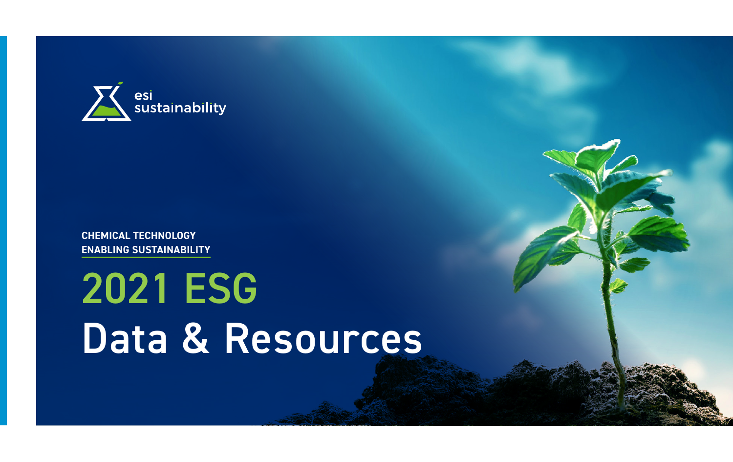

**CHEMICAL TECHNOLOGY ENABLING SUSTAINABILITY**

# 2021 ESG Data & Resources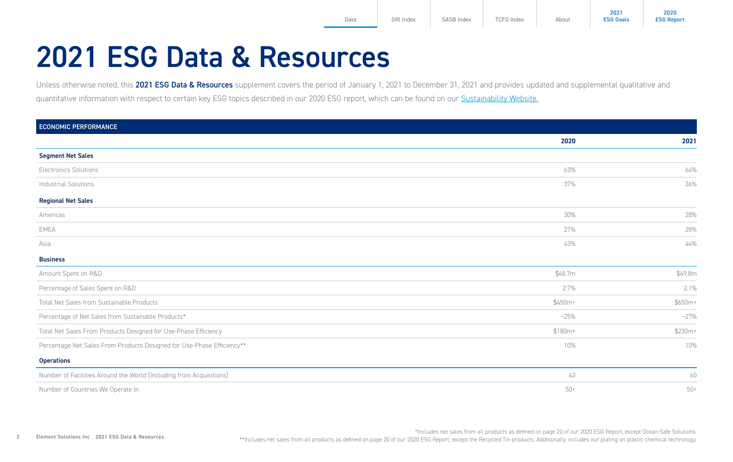### <span id="page-1-0"></span>2021 ESG Data & Resources

Unless otherwise noted, this 2021 ESG Data & Resources supplement covers the period of January 1, 2021 to December 31, 2021 and provides updated and supplemental qualitative and quantitative information with respect to certain key ESG topics described in our 2020 ESG report, which can be found on our [Sustainability Website.](https://elementsolutionsinc.com/sustainability)

| <b>ECONOMIC PERFORMANCE</b>                                            |          |          |
|------------------------------------------------------------------------|----------|----------|
|                                                                        | 2020     | 2021     |
| <b>Segment Net Sales</b>                                               |          |          |
| <b>Electronics Solutions</b>                                           | 63%      | 64%      |
| <b>Industrial Solutions</b>                                            | 37%      | 36%      |
| <b>Regional Net Sales</b>                                              |          |          |
| Americas                                                               | 30%      | 28%      |
| EMEA                                                                   | 27%      | 28%      |
| Asia                                                                   | 43%      | 44%      |
| <b>Business</b>                                                        |          |          |
| Amount Spent on R&D                                                    | \$48.7m  | \$49.8m  |
| Percentage of Sales Spent on R&D                                       | 2.7%     | 2.1%     |
| Total Net Sales from Sustainable Products                              | $$450m+$ | $$650m+$ |
| Percentage of Net Sales from Sustainable Products*                     | $-25%$   | $-27%$   |
| Total Net Sales From Products Designed for Use-Phase Efficiency        | $$180m+$ | \$230m+  |
| Percentage Net Sales From Products Designed for Use-Phase Efficiency** | 10%      | 10%      |
| <b>Operations</b>                                                      |          |          |
| Number of Facilities Around the World (Including from Acquisitions)    | 43       | 60       |
| Number of Countries We Operate In                                      | $50+$    | $50+$    |

\*Includes net sales from all products as defined on page 20 of our 2020 ESG Report, except Ocean-Safe Solutions. \*\*Includes net sales from all products as defined on page 20 of our 2020 ESG Report, except the Recycled Tin products. Additionally, includes our plating on plastic chemical technology.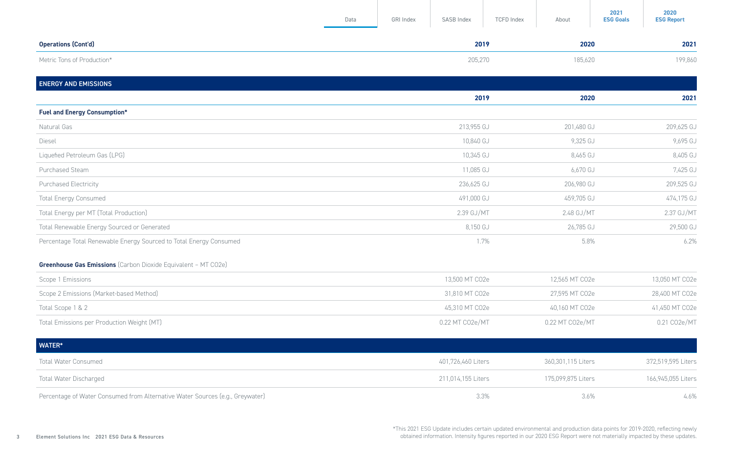<span id="page-2-0"></span>

|                                                                       | Data | GRI Index | SASB Index         | <b>TCFD Index</b> | About              | 2021<br><b>ESG Goals</b> | 2020<br><b>ESG Report</b> |
|-----------------------------------------------------------------------|------|-----------|--------------------|-------------------|--------------------|--------------------------|---------------------------|
| <b>Operations (Cont'd)</b>                                            |      |           | 2019               |                   | 2020               |                          | 2021                      |
| Metric Tons of Production*                                            |      |           | 205,270            |                   | 185,620            |                          | 199,860                   |
| <b>ENERGY AND EMISSIONS</b>                                           |      |           |                    |                   |                    |                          |                           |
|                                                                       |      |           | 2019               |                   | 2020               |                          | 2021                      |
| <b>Fuel and Energy Consumption*</b>                                   |      |           |                    |                   |                    |                          |                           |
| Natural Gas                                                           |      |           | 213,955 GJ         |                   | 201,480 GJ         |                          | 209,625 GJ                |
| Diesel                                                                |      |           | 10,840 GJ          |                   | 9,325 GJ           |                          | 9,695 GJ                  |
| Liquefied Petroleum Gas (LPG)                                         |      |           | 10,345 GJ          |                   | 8,465 GJ           |                          | 8,405 GJ                  |
| Purchased Steam                                                       |      |           | 11,085 GJ          |                   | 6,670 GJ           |                          | 7,425 GJ                  |
| Purchased Electricity                                                 |      |           | 236,625 GJ         |                   | 206,980 GJ         |                          | 209,525 GJ                |
| <b>Total Energy Consumed</b>                                          |      |           | 491,000 GJ         |                   | 459,705 GJ         |                          | 474,175 GJ                |
| Total Energy per MT (Total Production)                                |      |           | 2.39 GJ/MT         |                   | 2.48 GJ/MT         |                          | 2.37 GJ/MT                |
| Total Renewable Energy Sourced or Generated                           |      |           | 8,150 GJ           |                   | 26,785 GJ          |                          | 29,500 GJ                 |
| Percentage Total Renewable Energy Sourced to Total Energy Consumed    |      |           |                    | 1.7%              | 5.8%               |                          | 6.2%                      |
| <b>Greenhouse Gas Emissions</b> (Carbon Dioxide Equivalent - MT CO2e) |      |           |                    |                   |                    |                          |                           |
| Scope 1 Emissions                                                     |      |           | 13,500 MT CO2e     |                   | 12,565 MT CO2e     |                          | 13,050 MT CO2e            |
| Scope 2 Emissions (Market-based Method)                               |      |           | 31,810 MT CO2e     |                   | 27,595 MT CO2e     |                          | 28,400 MT CO2e            |
| Total Scope 1 & 2                                                     |      |           | 45,310 MT CO2e     |                   | 40,160 MT CO2e     |                          | 41,450 MT CO2e            |
| Total Emissions per Production Weight (MT)                            |      |           | 0.22 MT CO2e/MT    |                   | 0.22 MT CO2e/MT    |                          | 0.21 CO2e/MT              |
| WATER*                                                                |      |           |                    |                   |                    |                          |                           |
| <b>Total Water Consumed</b>                                           |      |           | 401,726,460 Liters |                   | 360,301,115 Liters |                          | 372,519,595 Liters        |
| <b>Total Water Discharged</b>                                         |      |           | 211,014,155 Liters |                   | 175,099,875 Liters |                          | 166,945,055 Liters        |

Percentage of Water Consumed from Alternative Water Sources (e.g., Greywater) 3.6% 3.3% 3.6% 3.6% 3.6% 3.6% 3.6%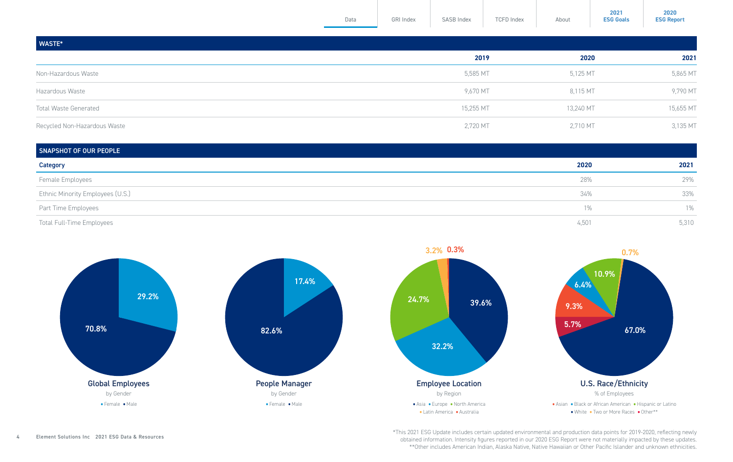<span id="page-3-0"></span>

|                              | Data | GRI Index | SASB Index | <b>TCFD Index</b> | About     | <b>ESG Goals</b> | <b>ESG Report</b> |
|------------------------------|------|-----------|------------|-------------------|-----------|------------------|-------------------|
| WASTE*                       |      |           |            |                   |           |                  |                   |
|                              |      |           | 2019       |                   | 2020      |                  | 2021              |
| Non-Hazardous Waste          |      |           | 5,585 MT   |                   | 5,125 MT  |                  | 5,865 MT          |
| Hazardous Waste              |      |           | 9,670 MT   |                   | 8,115 MT  |                  | 9,790 MT          |
| <b>Total Waste Generated</b> |      |           | 15,255 MT  |                   | 13,240 MT |                  | 15,655 MT         |
| Recycled Non-Hazardous Waste |      |           | 2,720 MT   |                   | 2,710 MT  |                  | 3,135 MT          |

| SNAPSHOT OF OUR PEOPLE           |       |       |  |  |
|----------------------------------|-------|-------|--|--|
| Category                         | 2020  | 2021  |  |  |
| Female Employees                 | 28%   | 29%   |  |  |
| Ethnic Minority Employees (U.S.) | 34%   | 33%   |  |  |
| Part Time Employees              | 1%    | $1\%$ |  |  |
| Total Full-Time Employees        | 4,501 | 5,310 |  |  |



\*This 2021 ESG Update includes certain updated environmental and production data points for 2019-2020, reflecting newly obtained information. Intensity figures reported in our 2020 ESG Report were not materially impacted by these updates. \*\*Other includes American Indian, Alaska Native, Native Hawaiian or Other Pacific Islander and unknown ethnicities.

**2021**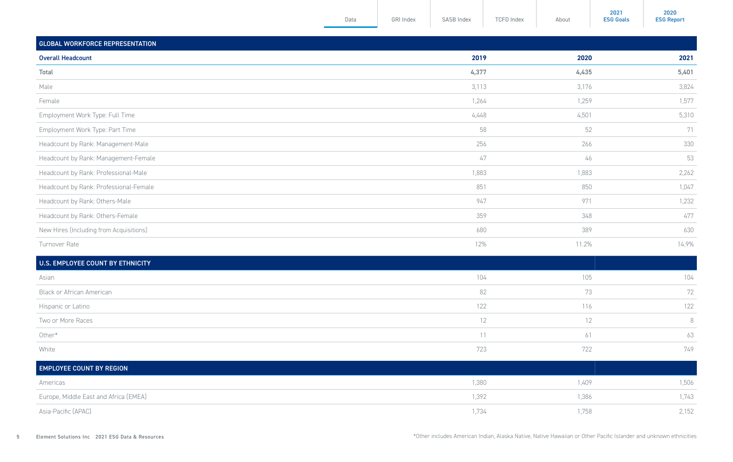<span id="page-4-0"></span>

|                                         | Data | GRI Index | SASB Index | <b>TCFD Index</b><br>About | <b>ESG Goals</b><br><b>ESG Report</b> |
|-----------------------------------------|------|-----------|------------|----------------------------|---------------------------------------|
| <b>GLOBAL WORKFORCE REPRESENTATION</b>  |      |           |            |                            |                                       |
| <b>Overall Headcount</b>                |      |           | 2019       | 2020                       | 2021                                  |
| Total                                   |      |           | 4,377      | 4,435                      | 5,401                                 |
| Male                                    |      |           | 3,113      | 3,176                      | 3,824                                 |
| Female                                  |      |           | 1,264      | 1,259                      | 1,577                                 |
| Employment Work Type: Full Time         |      |           | 4,448      | 4,501                      | 5,310                                 |
| Employment Work Type: Part Time         |      |           | 58         | 52                         | 71                                    |
| Headcount by Rank: Management-Male      |      |           | 256        | 266                        | 330                                   |
| Headcount by Rank: Management-Female    |      |           | 47         | 46                         | 53                                    |
| Headcount by Rank: Professional-Male    |      |           | 1,883      | 1,883                      | 2,262                                 |
| Headcount by Rank: Professional-Female  |      |           | 851        | 850                        | 1,047                                 |
| Headcount by Rank: Others-Male          |      |           | 947        | 971                        | 1,232                                 |
| Headcount by Rank: Others-Female        |      |           | 359        | 348                        | 477                                   |
| New Hires (Including from Acquisitions) |      |           | 680        | 389                        | 630                                   |
| Turnover Rate                           |      |           | 12%        | 11.2%                      | 14.9%                                 |

| U.S. EMPLOYEE COUNT BY ETHNICITY |     |     |     |
|----------------------------------|-----|-----|-----|
| Asian                            | 104 | 105 | 104 |
| Black or African American        | 82  | 73  | 72  |
| Hispanic or Latino               | 122 | 116 | 122 |
| Two or More Races                | 12  | 12  |     |
| Other*                           |     | 61  | 63  |
| White                            | 723 | 722 | 749 |

| <b>EMPLOYEE COUNT BY REGION</b>       |       |       |       |
|---------------------------------------|-------|-------|-------|
| Americas                              | 1,380 | 1,409 | 1,506 |
| Europe, Middle East and Africa (EMEA) | 1,392 | 1,386 | 1,743 |
| Asia-Pacific (APAC)                   | 1,734 | ,758  | 2,152 |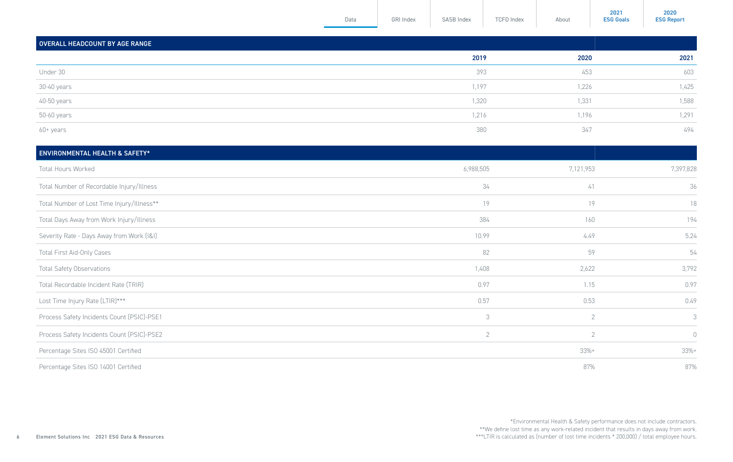<span id="page-5-0"></span>

|                                | Data | GRI Index | SASB Index | <b>TCFD Index</b> | About | <b>ESG Goals</b> | <b>ESG Report</b> |
|--------------------------------|------|-----------|------------|-------------------|-------|------------------|-------------------|
| OVERALL HEADCOUNT BY AGE RANGE |      |           |            |                   |       |                  |                   |
|                                |      |           | 2019       |                   | 2020  |                  | 2021              |
| Under 30                       |      |           | 393        |                   | 453   |                  | 603               |
| 30-40 years                    |      |           | 1,197      |                   | 1,226 |                  | 1,425             |
| 40-50 years                    |      |           | 1,320      |                   | 1,331 |                  | 1,588             |
| 50-60 years                    |      |           | 1,216      |                   | 1,196 |                  | 1,291             |
| 60+ years                      |      |           | 380        |                   | 347   |                  | 494               |
|                                |      |           |            |                   |       |                  |                   |

| <b>ENVIRONMENTAL HEALTH &amp; SAFETY*</b>  |                |                |             |
|--------------------------------------------|----------------|----------------|-------------|
| Total Hours Worked                         | 6,988,505      | 7,121,953      | 7,397,828   |
| Total Number of Recordable Injury/Illness  | 34             | 41             | 36          |
| Total Number of Lost Time Injury/Illness** | 19             | 19             | 18          |
| Total Days Away from Work Injury/Illness   | 384            | 160            | 194         |
| Severity Rate - Days Away from Work (I&I)  | 10.99          | 4.49           | 5.24        |
| Total First Aid-Only Cases                 | 82             | 59             | 54          |
| <b>Total Safety Observations</b>           | 1,408          | 2,622          | 3,792       |
| Total Recordable Incident Rate (TRIR)      | 0.97           | 1.15           | 0.97        |
| Lost Time Injury Rate (LTIR)***            | 0.57           | 0.53           | 0.49        |
| Process Safety Incidents Count (PSIC)-PSE1 | 3              | $\overline{2}$ | 3           |
| Process Safety Incidents Count (PSIC)-PSE2 | $\overline{2}$ | $\overline{2}$ | $\mathbb O$ |
| Percentage Sites ISO 45001 Certified       |                | $33%+$         | $33% +$     |
| Percentage Sites ISO 14001 Certified       |                | 87%            | 87%         |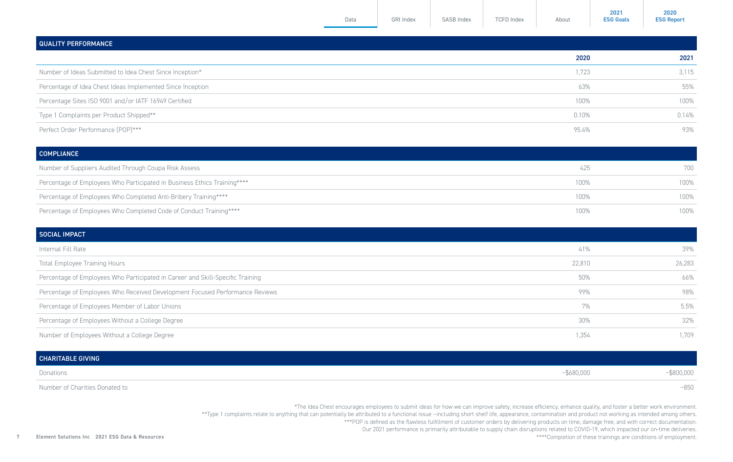| Data | <b>GRI Index</b> | <b>SASB Index</b> | <b>TCFD Index</b> | About |
|------|------------------|-------------------|-------------------|-------|

**2021 [ESG Goals](https://elementsolutionsinc.com/sites/default/files/2022-02/Sustainability%20Goals%20-%20Final.pdf)**

**2020 [ESG Report](https://elementsolutionsinc.com/sites/default/files/2021-08/ElementSolutions2020ESGReport3-5.pdf)**

<span id="page-6-0"></span>

| <b>QUALITY PERFORMANCE</b>                                 |       |       |
|------------------------------------------------------------|-------|-------|
|                                                            | 2020  | 2021  |
| Number of Ideas Submitted to Idea Chest Since Inception*   | 1,723 | 3,115 |
| Percentage of Idea Chest Ideas Implemented Since Inception | 63%   | 55%   |
| Percentage Sites ISO 9001 and/or IATF 16949 Certified      | 100%  | 100%  |
| Type 1 Complaints per Product Shipped**                    | 0.10% | 0.14% |
| Perfect Order Performance (POP)***                         | 95.4% | 93%   |

| <b>COMPLIANCE</b>                                                        |      |      |
|--------------------------------------------------------------------------|------|------|
| Number of Suppliers Audited Through Coupa Risk Assess                    | 425  | 700  |
| Percentage of Employees Who Participated in Business Ethics Training**** | 100% | 100% |
| Percentage of Employees Who Completed Anti-Bribery Training****          | 100% | 100% |
| Percentage of Employees Who Completed Code of Conduct Training****       | 100% | 100% |

| SOCIAL IMPACT                                                                  |        |        |
|--------------------------------------------------------------------------------|--------|--------|
| Internal Fill Rate                                                             | 41%    | 39%    |
| <b>Total Employee Training Hours</b>                                           | 22,810 | 26,283 |
| Percentage of Employees Who Participated in Career and Skill-Specific Training | 50%    | 66%    |
| Percentage of Employees Who Received Development Focused Performance Reviews   | 99%    | 98%    |
| Percentage of Employees Member of Labor Unions                                 | 7%     | 5.5%   |
| Percentage of Employees Without a College Degree                               | 30%    | 32%    |
| Number of Employees Without a College Degree                                   | 1,354  | 1,709  |

| <b>CHARITABLE GIVING</b> |               |                  |
|--------------------------|---------------|------------------|
| Donations                | $-$ \$680,000 | -481<br>poon'oon |

Number of Charities Donated to  $~\sim$ 850  $~\sim$ 850  $~\sim$ 

\*The Idea Chest encourages employees to submit ideas for how we can improve safety, increase efficiency, enhance quality, and foster a better work environment.

\*\*Type 1 complaints relate to anything that can potentially be attributed to a functional issue --including short shelf life, appearance, contamination and product not working as intended among others.

\*\*\*POP is defined as the flawless fulfillment of customer orders by delivering products on time, damage free, and with correct documentation.

Our 2021 performance is primarily attributable to supply chain disruptions related to COVID-19, which impacted our on-time deliveries.

\*\*\*\*Completion of these trainings are conditions of employment.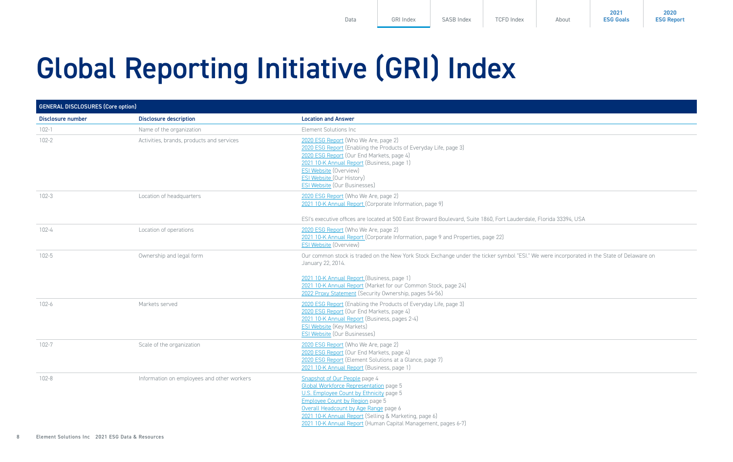<span id="page-7-0"></span>Global Reporting Initiative (GRI) Index

| <b>GENERAL DISCLOSURES (Core option)</b> |                                            |                                                                                                                                                                                                                                                                                                                                          |
|------------------------------------------|--------------------------------------------|------------------------------------------------------------------------------------------------------------------------------------------------------------------------------------------------------------------------------------------------------------------------------------------------------------------------------------------|
| Disclosure number                        | <b>Disclosure description</b>              | <b>Location and Answer</b>                                                                                                                                                                                                                                                                                                               |
| $102 - 1$                                | Name of the organization                   | Element Solutions Inc.                                                                                                                                                                                                                                                                                                                   |
| $102 - 2$                                | Activities, brands, products and services  | 2020 ESG Report (Who We Are, page 2)<br>2020 ESG Report (Enabling the Products of Everyday Life, page 3)<br>2020 ESG Report (Our End Markets, page 4)<br>2021 10-K Annual Report (Business, page 1)<br><b>ESI Website (Overview)</b><br><b>ESI Website (Our History)</b><br><b>ESI Website (Our Businesses)</b>                          |
| $102 - 3$                                | Location of headquarters                   | 2020 ESG Report (Who We Are, page 2)<br>2021 10-K Annual Report (Corporate Information, page 9)<br>ESI's executive offices are located at 500 East Broward Boulevard, Suite 1860, Fort Lauderdale, Florida 33394, USA                                                                                                                    |
| $102 - 4$                                | Location of operations                     | 2020 ESG Report (Who We Are, page 2)<br>2021 10-K Annual Report (Corporate Information, page 9 and Properties, page 22)<br><b>ESI Website (Overview)</b>                                                                                                                                                                                 |
| $102 - 5$                                | Ownership and legal form                   | Our common stock is traded on the New York Stock Exchange under the ticker symbol "ESI." We were incorporated in the State of Delaware on<br>January 22, 2014.<br>2021 10-K Annual Report (Business, page 1)<br>2021 10-K Annual Report (Market for our Common Stock, page 24)<br>2022 Proxy Statement (Security Ownership, pages 54-56) |
| $102 - 6$                                | Markets served                             | 2020 ESG Report (Enabling the Products of Everyday Life, page 3)<br>2020 ESG Report (Our End Markets, page 4)<br>2021 10-K Annual Report (Business, pages 2-4)<br><b>ESI Website</b> (Key Markets)<br><b>ESI Website (Our Businesses)</b>                                                                                                |
| $102 - 7$                                | Scale of the organization                  | 2020 ESG Report (Who We Are, page 2)<br>2020 ESG Report (Our End Markets, page 4)<br>2020 ESG Report (Element Solutions at a Glance, page 7)<br>2021 10-K Annual Report (Business, page 1)                                                                                                                                               |
| $102 - 8$                                | Information on employees and other workers | Snapshot of Our People page 4<br><b>Global Workforce Representation page 5</b><br>U.S. Employee Count by Ethnicity page 5<br><b>Employee Count by Region page 5</b><br>Overall Headcount by Age Range page 6<br>2021 10-K Annual Report (Selling & Marketing, page 6)<br>2021 10-K Annual Report (Human Capital Management, pages 6-7)   |

**2021 [ESG Goals](https://elementsolutionsinc.com/sites/default/files/2022-02/Sustainability%20Goals%20-%20Final.pdf)**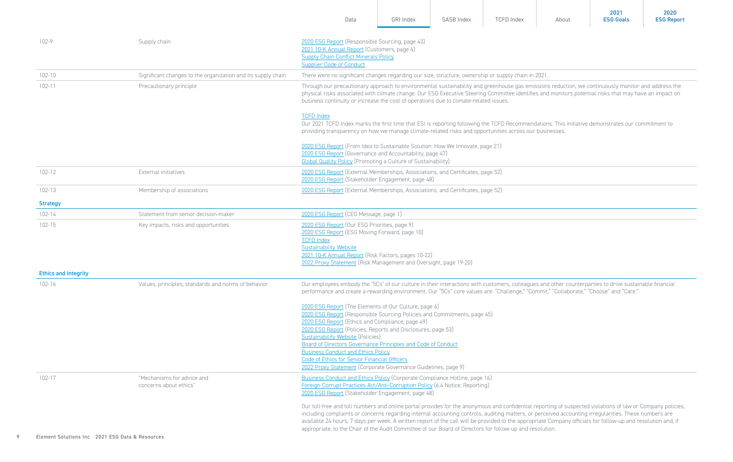|                             |                                                              | Data                                                                                                                                                                                                                                                                                                                                                                                                                                                                                                                                                                                           | GRI Index                                                                                                                                                                                                                                                   | SASB Index | <b>TCFD Index</b> | About | 2021<br><b>ESG Goals</b> | 2020<br><b>ESG Report</b> |  |
|-----------------------------|--------------------------------------------------------------|------------------------------------------------------------------------------------------------------------------------------------------------------------------------------------------------------------------------------------------------------------------------------------------------------------------------------------------------------------------------------------------------------------------------------------------------------------------------------------------------------------------------------------------------------------------------------------------------|-------------------------------------------------------------------------------------------------------------------------------------------------------------------------------------------------------------------------------------------------------------|------------|-------------------|-------|--------------------------|---------------------------|--|
| 102-9                       | Supply chain                                                 | 2020 ESG Report (Responsible Sourcing, page 43)<br>2021 10-K Annual Report (Customers, page 6)<br><b>Supply Chain Conflict Minerals Policy</b><br><b>Supplier Code of Conduct</b>                                                                                                                                                                                                                                                                                                                                                                                                              |                                                                                                                                                                                                                                                             |            |                   |       |                          |                           |  |
| $102 - 10$                  | Significant changes to the organization and its supply chain | There were no significant changes regarding our size, structure, ownership or supply chain in 2021.                                                                                                                                                                                                                                                                                                                                                                                                                                                                                            |                                                                                                                                                                                                                                                             |            |                   |       |                          |                           |  |
| $102 - 11$                  | Precautionary principle                                      | Through our precautionary approach to environmental sustainability and greenhouse gas emissions reduction, we continuously monitor and address the<br>physical risks associated with climate change. Our ESG Executive Steering Committee identifies and monitors potential risks that may have an impact on<br>business continuity or increase the cost of operations due to climate-related issues.                                                                                                                                                                                          |                                                                                                                                                                                                                                                             |            |                   |       |                          |                           |  |
|                             |                                                              | <b>TCFD Index</b>                                                                                                                                                                                                                                                                                                                                                                                                                                                                                                                                                                              | Our 2021 TCFD Index marks the first time that ESI is reporting following the TCFD Recommendations. This initiative demonstrates our commitment to<br>providing transparency on how we manage climate-related risks and opportunities across our businesses. |            |                   |       |                          |                           |  |
|                             |                                                              | 2020 ESG Report (From Idea to Sustainable Solution: How We Innovate, page 21)<br>2020 ESG Report (Governance and Accountability, page 47)<br><b>Global Quality Policy (Promoting a Culture of Sustainability)</b>                                                                                                                                                                                                                                                                                                                                                                              |                                                                                                                                                                                                                                                             |            |                   |       |                          |                           |  |
| 102-12                      | External initiatives                                         | 2020 ESG Report (External Memberships, Associations, and Certificates, page 52)<br>2020 ESG Report (Stakeholder Engagement, page 48)                                                                                                                                                                                                                                                                                                                                                                                                                                                           |                                                                                                                                                                                                                                                             |            |                   |       |                          |                           |  |
| 102-13                      | Membership of associations                                   | 2020 ESG Report (External Memberships, Associations, and Certificates, page 52)                                                                                                                                                                                                                                                                                                                                                                                                                                                                                                                |                                                                                                                                                                                                                                                             |            |                   |       |                          |                           |  |
| <b>Strategy</b>             |                                                              |                                                                                                                                                                                                                                                                                                                                                                                                                                                                                                                                                                                                |                                                                                                                                                                                                                                                             |            |                   |       |                          |                           |  |
| 102-14                      | Statement from senior decision-maker                         | 2020 ESG Report (CEO Message, page 1)                                                                                                                                                                                                                                                                                                                                                                                                                                                                                                                                                          |                                                                                                                                                                                                                                                             |            |                   |       |                          |                           |  |
| $102 - 15$                  | Key impacts, risks and opportunities                         | 2020 ESG Report (Our ESG Priorities, page 9)<br>2020 ESG Report (ESG Moving Forward, page 10)<br><b>TCFD Index</b><br><b>Sustainability Website</b><br>2021 10-K Annual Report (Risk Factors, pages 10-22)<br>2022 Proxy Statement (Risk Management and Oversight, page 19-20)                                                                                                                                                                                                                                                                                                                 |                                                                                                                                                                                                                                                             |            |                   |       |                          |                           |  |
| <b>Ethics and Integrity</b> |                                                              |                                                                                                                                                                                                                                                                                                                                                                                                                                                                                                                                                                                                |                                                                                                                                                                                                                                                             |            |                   |       |                          |                           |  |
| 102-16                      | Values, principles, standards and norms of behavior          | Our employees embody the "5Cs" of our culture in their interactions with customers, colleagues and other counterparties to drive sustainable financial<br>performance and create a rewarding environment. Our "5Cs" core values are: "Challenge," "Commit," "Collaborate," "Choose" and "Care."                                                                                                                                                                                                                                                                                                |                                                                                                                                                                                                                                                             |            |                   |       |                          |                           |  |
|                             |                                                              | 2020 ESG Report (The Elements of Our Culture, page 6)<br>2020 ESG Report (Responsible Sourcing Policies and Commitments, page 45)<br>2020 ESG Report (Ethics and Compliance, page 49)<br>2020 ESG Report (Policies, Reports and Disclosures, page 53)<br><b>Sustainability Website (Policies)</b><br>Board of Directors Governance Principles and Code of Conduct<br><b>Business Conduct and Ethics Policy</b><br>Code of Ethics for Senior Financial Officers<br>2022 Proxy Statement (Corporate Governance Guidelines, page 9)                                                               |                                                                                                                                                                                                                                                             |            |                   |       |                          |                           |  |
| 102-17                      | "Mechanisms for advice and<br>concerns about ethics"         | Business Conduct and Ethics Policy (Corporate Compliance Hotline, page 16)<br>Foreign Corrupt Practices Act/Anti-Corruption Policy (6.4 Notice; Reporting)<br>2020 ESG Report (Stakeholder Engagement, page 48)                                                                                                                                                                                                                                                                                                                                                                                |                                                                                                                                                                                                                                                             |            |                   |       |                          |                           |  |
|                             |                                                              | Our toll-free and toll numbers and online portal provides for the anonymous and confidential reporting of suspected violations of law or Company policies,<br>including complaints or concerns regarding internal accounting controls, auditing matters, or perceived accounting irregularities. These numbers are<br>available 24 hours, 7 days per week. A written report of the call will be provided to the appropriate Company officials for follow-up and resolution and, if<br>appropriate, to the Chair of the Audit Committee of our Board of Directors for follow-up and resolution. |                                                                                                                                                                                                                                                             |            |                   |       |                          |                           |  |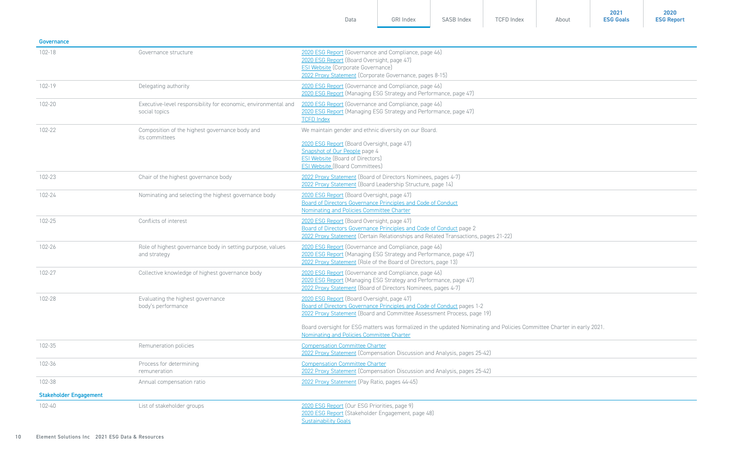| Governance                    |                                                                                 |                                                                                                                                                                                                                                                                                                                                                                       |
|-------------------------------|---------------------------------------------------------------------------------|-----------------------------------------------------------------------------------------------------------------------------------------------------------------------------------------------------------------------------------------------------------------------------------------------------------------------------------------------------------------------|
| $102 - 18$                    | Governance structure                                                            | 2020 ESG Report (Governance and Compliance, page 46)<br>2020 ESG Report (Board Oversight, page 47)<br><b>ESI Website</b> (Corporate Governance)<br>2022 Proxy Statement (Corporate Governance, pages 8-15)                                                                                                                                                            |
| 102-19                        | Delegating authority                                                            | 2020 ESG Report (Governance and Compliance, page 46)<br>2020 ESG Report (Managing ESG Strategy and Performance, page 47)                                                                                                                                                                                                                                              |
| 102-20                        | Executive-level responsibility for economic, environmental and<br>social topics | 2020 ESG Report (Governance and Compliance, page 46)<br>2020 ESG Report (Managing ESG Strategy and Performance, page 47)<br><b>TCFD Index</b>                                                                                                                                                                                                                         |
| 102-22                        | Composition of the highest governance body and<br>its committees                | We maintain gender and ethnic diversity on our Board.<br>2020 ESG Report (Board Oversight, page 47)<br>Snapshot of Our People page 4<br><b>ESI Website</b> (Board of Directors)<br><b>ESI Website (Board Committees)</b>                                                                                                                                              |
| 102-23                        | Chair of the highest governance body                                            | 2022 Proxy Statement (Board of Directors Nominees, pages 4-7)<br>2022 Proxy Statement (Board Leadership Structure, page 14)                                                                                                                                                                                                                                           |
| 102-24                        | Nominating and selecting the highest governance body                            | 2020 ESG Report (Board Oversight, page 47)<br>Board of Directors Governance Principles and Code of Conduct<br>Nominating and Policies Committee Charter                                                                                                                                                                                                               |
| 102-25                        | Conflicts of interest                                                           | 2020 ESG Report (Board Oversight, page 47)<br>Board of Directors Governance Principles and Code of Conduct page 2<br>2022 Proxy Statement (Certain Relationships and Related Transactions, pages 21-22)                                                                                                                                                               |
| 102-26                        | Role of highest governance body in setting purpose, values<br>and strategy      | 2020 ESG Report (Governance and Compliance, page 46)<br>2020 ESG Report (Managing ESG Strategy and Performance, page 47)<br>2022 Proxy Statement (Role of the Board of Directors, page 13)                                                                                                                                                                            |
| 102-27                        | Collective knowledge of highest governance body                                 | 2020 ESG Report (Governance and Compliance, page 46)<br>2020 ESG Report (Managing ESG Strategy and Performance, page 47)<br>2022 Proxy Statement (Board of Directors Nominees, pages 4-7)                                                                                                                                                                             |
| 102-28                        | Evaluating the highest governance<br>body's performance                         | 2020 ESG Report (Board Oversight, page 47)<br>Board of Directors Governance Principles and Code of Conduct pages 1-2<br>2022 Proxy Statement (Board and Committee Assessment Process, page 19)<br>Board oversight for ESG matters was formalized in the updated Nominating and Policies Committee Charter in early 2021.<br>Nominating and Policies Committee Charter |
| 102-35                        | Remuneration policies                                                           | <b>Compensation Committee Charter</b><br>2022 Proxy Statement (Compensation Discussion and Analysis, pages 25-42)                                                                                                                                                                                                                                                     |
| 102-36                        | Process for determining<br>remuneration                                         | <b>Compensation Committee Charter</b><br>2022 Proxy Statement (Compensation Discussion and Analysis, pages 25-42)                                                                                                                                                                                                                                                     |
| 102-38                        | Annual compensation ratio                                                       | 2022 Proxy Statement (Pay Ratio, pages 44-45)                                                                                                                                                                                                                                                                                                                         |
| <b>Stakeholder Engagement</b> |                                                                                 |                                                                                                                                                                                                                                                                                                                                                                       |
| 102-40                        | List of stakeholder groups                                                      | 2020 ESG Report (Our ESG Priorities, page 9)<br>2020 ESG Report (Stakeholder Engagement, page 48)<br><b>Sustainability Goals</b>                                                                                                                                                                                                                                      |

[Data](#page-1-0) [GRI Index](#page-7-0) [SASB Index](#page-16-0) [TCFD Index](#page-18-0) [About](#page-24-0)

**2021 [ESG Goals](https://elementsolutionsinc.com/sites/default/files/2022-02/Sustainability%20Goals%20-%20Final.pdf)**

**2020 [ESG Report](https://elementsolutionsinc.com/sites/default/files/2021-08/ElementSolutions2020ESGReport3-5.pdf)**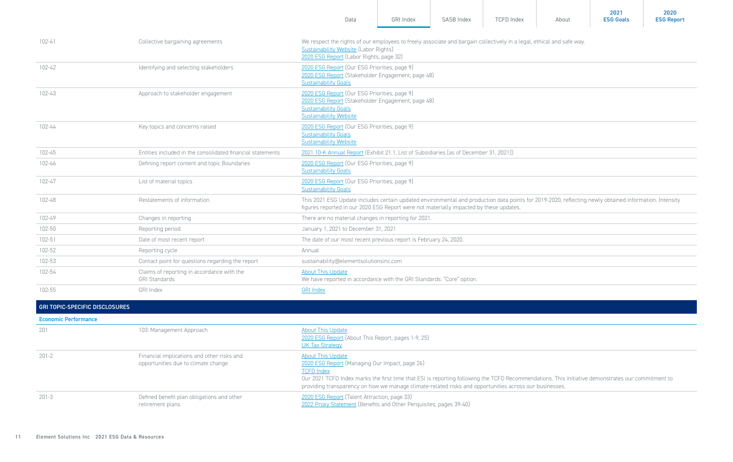|                                       |                                                                                   | Data                                                                                                                                                                                                                                                                                                                                                           | <b>GRI Index</b> | SASB Index | <b>TCFD Index</b> | About | 2021<br><b>ESG Goals</b> | 2020<br><b>ESG Report</b> |
|---------------------------------------|-----------------------------------------------------------------------------------|----------------------------------------------------------------------------------------------------------------------------------------------------------------------------------------------------------------------------------------------------------------------------------------------------------------------------------------------------------------|------------------|------------|-------------------|-------|--------------------------|---------------------------|
| $102 - 41$                            | Collective bargaining agreements                                                  | We respect the rights of our employees to freely associate and bargain collectively in a legal, ethical and safe way.<br><b>Sustainability Website (Labor Rights)</b><br>2020 ESG Report (Labor Rights, page 32)                                                                                                                                               |                  |            |                   |       |                          |                           |
| $102 - 42$                            | Identifying and selecting stakeholders                                            | 2020 ESG Report (Our ESG Priorities, page 9)<br>2020 ESG Report (Stakeholder Engagement, page 48)<br><b>Sustainability Goals</b>                                                                                                                                                                                                                               |                  |            |                   |       |                          |                           |
| 102-43                                | Approach to stakeholder engagement                                                | 2020 ESG Report (Our ESG Priorities, page 9)<br>2020 ESG Report (Stakeholder Engagement, page 48)<br><b>Sustainability Goals</b><br><b>Sustainability Website</b>                                                                                                                                                                                              |                  |            |                   |       |                          |                           |
| 102-44                                | Key topics and concerns raised                                                    | 2020 ESG Report (Our ESG Priorities, page 9)<br><b>Sustainability Goals</b><br><b>Sustainability Website</b>                                                                                                                                                                                                                                                   |                  |            |                   |       |                          |                           |
| 102-45                                | Entities included in the consolidated financial statements                        | 2021 10-K Annual Report (Exhibit 21.1, List of Subsidiaries [as of December 31, 2021])                                                                                                                                                                                                                                                                         |                  |            |                   |       |                          |                           |
| 102-46                                | Defining report content and topic Boundaries                                      | 2020 ESG Report (Our ESG Priorities, page 9)<br><b>Sustainability Goals</b>                                                                                                                                                                                                                                                                                    |                  |            |                   |       |                          |                           |
| 102-47                                | List of material topics                                                           | 2020 ESG Report (Our ESG Priorities, page 9)<br><b>Sustainability Goals</b>                                                                                                                                                                                                                                                                                    |                  |            |                   |       |                          |                           |
| 102-48                                | Restatements of information                                                       | This 2021 ESG Update includes certain updated environmental and production data points for 2019-2020, reflecting newly obtained information. Intensity<br>figures reported in our 2020 ESG Report were not materially impacted by these updates.                                                                                                               |                  |            |                   |       |                          |                           |
| 102-49                                | Changes in reporting                                                              | There are no material changes in reporting for 2021.                                                                                                                                                                                                                                                                                                           |                  |            |                   |       |                          |                           |
| 102-50                                | Reporting period                                                                  | January 1, 2021 to December 31, 2021                                                                                                                                                                                                                                                                                                                           |                  |            |                   |       |                          |                           |
| 102-51                                | Date of most recent report                                                        | The date of our most recent previous report is February 24, 2020.                                                                                                                                                                                                                                                                                              |                  |            |                   |       |                          |                           |
| 102-52                                | Reporting cycle                                                                   | Annual                                                                                                                                                                                                                                                                                                                                                         |                  |            |                   |       |                          |                           |
| 102-53                                | Contact point for questions regarding the report                                  | sustainability@elementsolutionsinc.com                                                                                                                                                                                                                                                                                                                         |                  |            |                   |       |                          |                           |
| 102-54                                | Claims of reporting in accordance with the<br><b>GRI Standards</b>                | <b>About This Update</b><br>We have reported in accordance with the GRI Standards: "Core" option.                                                                                                                                                                                                                                                              |                  |            |                   |       |                          |                           |
| 102-55                                | GRI Index                                                                         | <b>GRI Index</b>                                                                                                                                                                                                                                                                                                                                               |                  |            |                   |       |                          |                           |
| <b>GRI TOPIC-SPECIFIC DISCLOSURES</b> |                                                                                   |                                                                                                                                                                                                                                                                                                                                                                |                  |            |                   |       |                          |                           |
| <b>Economic Performance</b>           |                                                                                   |                                                                                                                                                                                                                                                                                                                                                                |                  |            |                   |       |                          |                           |
| 201                                   | 103: Management Approach                                                          | <b>About This Update</b><br>2020 ESG Report (About This Report, pages 1-9, 25)<br><u>UK Tax Strategy</u>                                                                                                                                                                                                                                                       |                  |            |                   |       |                          |                           |
| $201 - 2$                             | Financial implications and other risks and<br>opportunities due to climate change | <b>About This Update</b><br>2020 ESG Report (Managing Our Impact, page 26)<br><b>TCFD Index</b><br>Our 2021 TCFD Index marks the first time that ESI is reporting following the TCFD Recommendations. This initiative demonstrates our commitment to<br>providing transparency on how we manage climate-related risks and opportunities across our businesses. |                  |            |                   |       |                          |                           |
| $201 - 3$                             | Defined benefit plan obligations and other<br>retirement plans                    | 2020 ESG Report (Talent Attraction, page 33)<br>2022 Proxy Statement (Benefits and Other Perquisites, pages 39-40)                                                                                                                                                                                                                                             |                  |            |                   |       |                          |                           |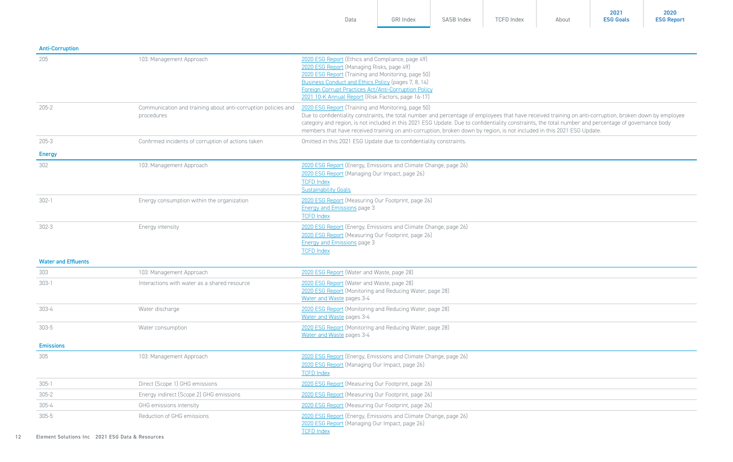| <b>Anti-Corruption</b>     |                                                                             |                                                                                                                                                                                                                                                                                                                                                                                                                                                                                                   |
|----------------------------|-----------------------------------------------------------------------------|---------------------------------------------------------------------------------------------------------------------------------------------------------------------------------------------------------------------------------------------------------------------------------------------------------------------------------------------------------------------------------------------------------------------------------------------------------------------------------------------------|
| 205                        | 103: Management Approach                                                    | 2020 ESG Report (Ethics and Compliance, page 49)<br>2020 ESG Report (Managing Risks, page 49)<br>2020 ESG Report (Training and Monitoring, page 50)<br>Business Conduct and Ethics Policy (pages 7, 8, 14)<br>Foreign Corrupt Practices Act/Anti-Corruption Policy<br>2021 10-K Annual Report (Risk Factors, page 16-17)                                                                                                                                                                          |
| $205 - 2$                  | Communication and training about anti-corruption policies and<br>procedures | 2020 ESG Report (Training and Monitoring, page 50)<br>Due to confidentiality constraints, the total number and percentage of employees that have received training on anti-corruption, broken down by employee<br>category and region, is not included in this 2021 ESG Update. Due to confidentiality constraints, the total number and percentage of governance body<br>members that have received training on anti-corruption, broken down by region, is not included in this 2021 ESG Update. |
| $205 - 3$                  | Confirmed incidents of corruption of actions taken                          | Omitted in this 2021 ESG Update due to confidentiality constraints.                                                                                                                                                                                                                                                                                                                                                                                                                               |
| <b>Energy</b>              |                                                                             |                                                                                                                                                                                                                                                                                                                                                                                                                                                                                                   |
| 302                        | 103: Management Approach                                                    | 2020 ESG Report (Energy, Emissions and Climate Change, page 26)<br>2020 ESG Report (Managing Our Impact, page 26)<br><b>TCFD Index</b><br><b>Sustainability Goals</b>                                                                                                                                                                                                                                                                                                                             |
| $302 - 1$                  | Energy consumption within the organization                                  | 2020 ESG Report (Measuring Our Footprint, page 26)<br><b>Energy and Emissions page 3</b><br><b>TCFD Index</b>                                                                                                                                                                                                                                                                                                                                                                                     |
| $302 - 3$                  | Energy intensity                                                            | 2020 ESG Report (Energy, Emissions and Climate Change, page 26)<br>2020 ESG Report (Measuring Our Footprint, page 26)<br><b>Energy and Emissions page 3</b><br><b>TCFD Index</b>                                                                                                                                                                                                                                                                                                                  |
| <b>Water and Effluents</b> |                                                                             |                                                                                                                                                                                                                                                                                                                                                                                                                                                                                                   |
| 303                        | 103: Management Approach                                                    | 2020 ESG Report (Water and Waste, page 28)                                                                                                                                                                                                                                                                                                                                                                                                                                                        |
| $303-1$                    | Interactions with water as a shared resource                                | 2020 ESG Report (Water and Waste, page 28)<br>2020 ESG Report (Monitoring and Reducing Water, page 28)<br>Water and Waste pages 3-4                                                                                                                                                                                                                                                                                                                                                               |
| $303 - 4$                  | Water discharge                                                             | 2020 ESG Report (Monitoring and Reducing Water, page 28)<br>Water and Waste pages 3-4                                                                                                                                                                                                                                                                                                                                                                                                             |
| $303 - 5$                  | Water consumption                                                           | 2020 ESG Report (Monitoring and Reducing Water, page 28)<br>Water and Waste pages 3-4                                                                                                                                                                                                                                                                                                                                                                                                             |
| <b>Emissions</b>           |                                                                             |                                                                                                                                                                                                                                                                                                                                                                                                                                                                                                   |
| 305                        | 103: Management Approach                                                    | 2020 ESG Report (Energy, Emissions and Climate Change, page 26)<br>2020 ESG Report (Managing Our Impact, page 26)<br><b>TCFD Index</b>                                                                                                                                                                                                                                                                                                                                                            |
| $305 - 1$                  | Direct (Scope 1) GHG emissions                                              | 2020 ESG Report (Measuring Our Footprint, page 26)                                                                                                                                                                                                                                                                                                                                                                                                                                                |
| $305 - 2$                  | Energy indirect (Scope 2) GHG emissions                                     | 2020 ESG Report (Measuring Our Footprint, page 26)                                                                                                                                                                                                                                                                                                                                                                                                                                                |
| $305 - 4$                  | GHG emissions intensity                                                     | 2020 ESG Report (Measuring Our Footprint, page 26)                                                                                                                                                                                                                                                                                                                                                                                                                                                |
| $305 - 5$                  | Reduction of GHG emissions                                                  | 2020 ESG Report (Energy, Emissions and Climate Change, page 26)<br>2020 ESG Report (Managing Our Impact, page 26)<br><b>TCFD Index</b>                                                                                                                                                                                                                                                                                                                                                            |

[Data](#page-1-0) [GRI Index](#page-7-0) [SASB Index](#page-16-0) [TCFD Index](#page-18-0) [About](#page-24-0)

**2021 [ESG Goals](https://elementsolutionsinc.com/sites/default/files/2022-02/Sustainability%20Goals%20-%20Final.pdf)**

**2020 [ESG Report](https://elementsolutionsinc.com/sites/default/files/2021-08/ElementSolutions2020ESGReport3-5.pdf)**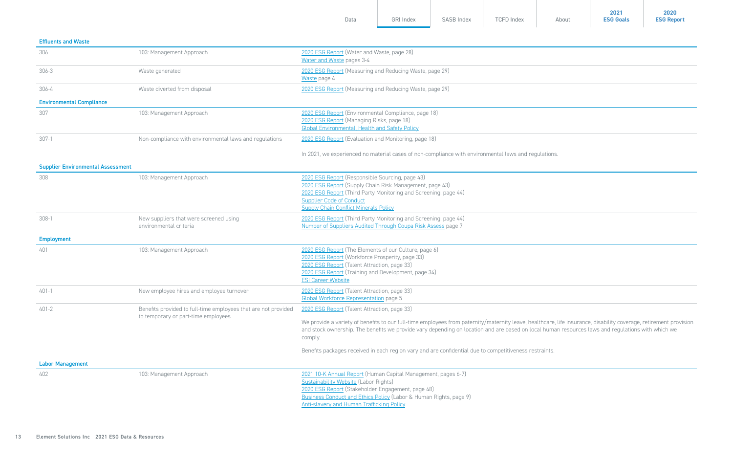| Data | <b>GRI Index</b> | SASB Index | <b>TCFD Index</b> | About | 2021<br><b>ESG Goals</b> | 2020<br><b>ESG Report</b> |
|------|------------------|------------|-------------------|-------|--------------------------|---------------------------|
|      |                  |            |                   |       |                          |                           |

| <b>Effluents and Waste</b>               |                                                                                                       |                                                                                                                                                                                                                                                                                                                                                                                                                                                                                             |
|------------------------------------------|-------------------------------------------------------------------------------------------------------|---------------------------------------------------------------------------------------------------------------------------------------------------------------------------------------------------------------------------------------------------------------------------------------------------------------------------------------------------------------------------------------------------------------------------------------------------------------------------------------------|
| 306                                      | 103: Management Approach                                                                              | 2020 ESG Report (Water and Waste, page 28)<br>Water and Waste pages 3-4                                                                                                                                                                                                                                                                                                                                                                                                                     |
| $306 - 3$                                | Waste generated                                                                                       | 2020 ESG Report (Measuring and Reducing Waste, page 29)<br>Waste page 4                                                                                                                                                                                                                                                                                                                                                                                                                     |
| $306 - 4$                                | Waste diverted from disposal                                                                          | 2020 ESG Report (Measuring and Reducing Waste, page 29)                                                                                                                                                                                                                                                                                                                                                                                                                                     |
| <b>Environmental Compliance</b>          |                                                                                                       |                                                                                                                                                                                                                                                                                                                                                                                                                                                                                             |
| 307                                      | 103: Management Approach                                                                              | 2020 ESG Report (Environmental Compliance, page 18)<br>2020 ESG Report (Managing Risks, page 18)<br>Global Environmental, Health and Safety Policy                                                                                                                                                                                                                                                                                                                                          |
| $307-1$                                  | Non-compliance with environmental laws and regulations                                                | 2020 ESG Report (Evaluation and Monitoring, page 18)                                                                                                                                                                                                                                                                                                                                                                                                                                        |
|                                          |                                                                                                       | In 2021, we experienced no material cases of non-compliance with environmental laws and regulations.                                                                                                                                                                                                                                                                                                                                                                                        |
| <b>Supplier Environmental Assessment</b> |                                                                                                       |                                                                                                                                                                                                                                                                                                                                                                                                                                                                                             |
| 308                                      | 103: Management Approach                                                                              | 2020 ESG Report (Responsible Sourcing, page 43)<br>2020 ESG Report (Supply Chain Risk Management, page 43)<br>2020 ESG Report (Third Party Monitoring and Screening, page 44)<br><b>Supplier Code of Conduct</b><br><b>Supply Chain Conflict Minerals Policy</b>                                                                                                                                                                                                                            |
| $308-1$                                  | New suppliers that were screened using<br>environmental criteria                                      | 2020 ESG Report (Third Party Monitoring and Screening, page 44)<br>Number of Suppliers Audited Through Coupa Risk Assess page 7                                                                                                                                                                                                                                                                                                                                                             |
| <b>Employment</b>                        |                                                                                                       |                                                                                                                                                                                                                                                                                                                                                                                                                                                                                             |
| 401                                      | 103: Management Approach                                                                              | 2020 ESG Report (The Elements of our Culture, page 6)<br>2020 ESG Report (Workforce Prosperity, page 33)<br>2020 ESG Report (Talent Attraction, page 33)<br>2020 ESG Report (Training and Development, page 34)<br><b>ESI Career Website</b>                                                                                                                                                                                                                                                |
| $401 - 1$                                | New employee hires and employee turnover                                                              | 2020 ESG Report (Talent Attraction, page 33)<br>Global Workforce Representation page 5                                                                                                                                                                                                                                                                                                                                                                                                      |
| $401 - 2$                                | Benefits provided to full-time employees that are not provided<br>to temporary or part-time employees | 2020 ESG Report (Talent Attraction, page 33)<br>We provide a variety of benefits to our full-time employees from paternity/maternity leave, healthcare, life insurance, disability coverage, retirement provision<br>and stock ownership. The benefits we provide vary depending on location and are based on local human resources laws and requlations with which we<br>comply.<br>Benefits packages received in each region vary and are confidential due to competitiveness restraints. |
| <b>Labor Management</b>                  |                                                                                                       |                                                                                                                                                                                                                                                                                                                                                                                                                                                                                             |
| 402                                      | 103: Management Approach                                                                              | 2021 10-K Annual Report (Human Capital Management, pages 6-7)<br><b>Sustainability Website (Labor Rights)</b><br>2020 ESG Report (Stakeholder Engagement, page 48)<br>Business Conduct and Ethics Policy (Labor & Human Rights, page 9)<br>Anti-slavery and Human Trafficking Policy                                                                                                                                                                                                        |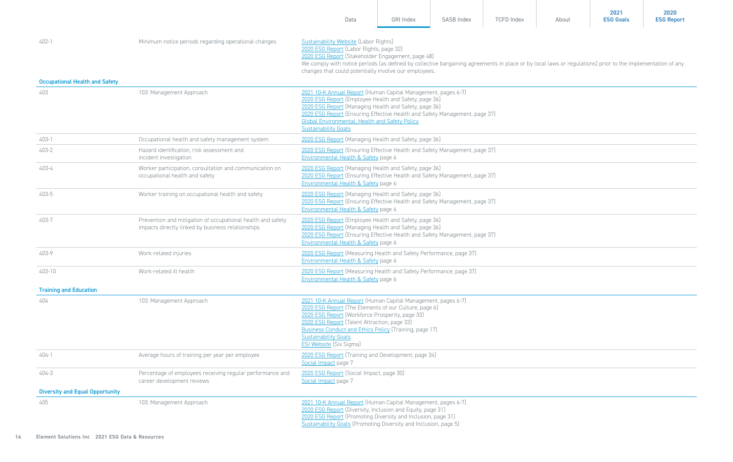|                                       |                                                                                                                  | Data                                                                                                                                                                                                                                                                                                                                                        | GRI Index                                                                                                                                                                                                                                                                                                                                                    | SASB Index | <b>TCFD Index</b> | About | 2021<br><b>ESG Goals</b> | 2020<br><b>ESG Report</b> |  |  |
|---------------------------------------|------------------------------------------------------------------------------------------------------------------|-------------------------------------------------------------------------------------------------------------------------------------------------------------------------------------------------------------------------------------------------------------------------------------------------------------------------------------------------------------|--------------------------------------------------------------------------------------------------------------------------------------------------------------------------------------------------------------------------------------------------------------------------------------------------------------------------------------------------------------|------------|-------------------|-------|--------------------------|---------------------------|--|--|
| $402 - 1$                             | Minimum notice periods regarding operational changes                                                             |                                                                                                                                                                                                                                                                                                                                                             | Sustainability Website (Labor Rights)<br>2020 ESG Report (Labor Rights, page 32)<br>2020 ESG Report (Stakeholder Engagement, page 48)<br>We comply with notice periods (as defined by collective bargaining agreements in place or by local laws or regulations) prior to the implementation of any<br>changes that could potentially involve our employees. |            |                   |       |                          |                           |  |  |
| <b>Occupational Health and Safety</b> |                                                                                                                  |                                                                                                                                                                                                                                                                                                                                                             |                                                                                                                                                                                                                                                                                                                                                              |            |                   |       |                          |                           |  |  |
| 403                                   | 103: Management Approach                                                                                         | 2021 10-K Annual Report (Human Capital Management, pages 6-7)<br>2020 ESG Report (Employee Health and Safety, page 36)<br>2020 ESG Report (Managing Health and Safety, page 36)<br>2020 ESG Report (Ensuring Effective Health and Safety Management, page 37)<br><b>Global Environmental, Health and Safety Policy</b><br><b>Sustainability Goals</b>       |                                                                                                                                                                                                                                                                                                                                                              |            |                   |       |                          |                           |  |  |
| 403-1                                 | Occupational health and safety management system                                                                 | 2020 ESG Report (Managing Health and Safety, page 36)                                                                                                                                                                                                                                                                                                       |                                                                                                                                                                                                                                                                                                                                                              |            |                   |       |                          |                           |  |  |
| 403-2                                 | Hazard identification, risk assessment and<br>incident investigation                                             | 2020 ESG Report (Ensuring Effective Health and Safety Management, page 37)<br>Environmental Health & Safety page 6                                                                                                                                                                                                                                          |                                                                                                                                                                                                                                                                                                                                                              |            |                   |       |                          |                           |  |  |
| 403-4                                 | Worker participation, consultation and communication on<br>occupational health and safety                        | 2020 ESG Report (Managing Health and Safety, page 36)<br>2020 ESG Report (Ensuring Effective Health and Safety Management, page 37)<br>Environmental Health & Safety page 6                                                                                                                                                                                 |                                                                                                                                                                                                                                                                                                                                                              |            |                   |       |                          |                           |  |  |
| 403-5                                 | Worker training on occupational health and safety                                                                | 2020 ESG Report (Managing Health and Safety, page 36)<br>2020 ESG Report (Ensuring Effective Health and Safety Management, page 37)<br>Environmental Health & Safety page 6                                                                                                                                                                                 |                                                                                                                                                                                                                                                                                                                                                              |            |                   |       |                          |                           |  |  |
| 403-7                                 | Prevention and mitigation of occupational health and safety<br>impacts directly linked by business relationships | 2020 ESG Report (Employee Health and Safety, page 36)<br>2020 ESG Report (Managing Health and Safety, page 36)<br>2020 ESG Report (Ensuring Effective Health and Safety Management, page 37)<br>Environmental Health & Safety page 6                                                                                                                        |                                                                                                                                                                                                                                                                                                                                                              |            |                   |       |                          |                           |  |  |
| 403-9                                 | Work-related injuries                                                                                            | 2020 ESG Report (Measuring Health and Safety Performance, page 37)<br>Environmental Health & Safety page 6                                                                                                                                                                                                                                                  |                                                                                                                                                                                                                                                                                                                                                              |            |                   |       |                          |                           |  |  |
| 403-10                                | Work-related ill health                                                                                          | 2020 ESG Report (Measuring Health and Safety Performance, page 37)<br>Environmental Health & Safety page 6                                                                                                                                                                                                                                                  |                                                                                                                                                                                                                                                                                                                                                              |            |                   |       |                          |                           |  |  |
| <b>Training and Education</b>         |                                                                                                                  |                                                                                                                                                                                                                                                                                                                                                             |                                                                                                                                                                                                                                                                                                                                                              |            |                   |       |                          |                           |  |  |
| 404                                   | 103: Management Approach                                                                                         | 2021 10-K Annual Report (Human Capital Management, pages 6-7)<br>2020 ESG Report (The Elements of our Culture, page 6)<br>2020 ESG Report (Workforce Prosperity, page 33)<br>2020 ESG Report (Talent Attraction, page 33)<br><b>Business Conduct and Ethics Policy (Training, page 17)</b><br><b>Sustainability Goals</b><br><b>ESI Website</b> (Six Sigma) |                                                                                                                                                                                                                                                                                                                                                              |            |                   |       |                          |                           |  |  |
| 404-1                                 | Average hours of training per year per employee                                                                  | 2020 ESG Report (Training and Development, page 34)<br>Social Impact page 7                                                                                                                                                                                                                                                                                 |                                                                                                                                                                                                                                                                                                                                                              |            |                   |       |                          |                           |  |  |
| 404-3                                 | Percentage of employees receiving regular performance and<br>career development reviews                          | 2020 ESG Report (Social Impact, page 30)<br>Social Impact page 7                                                                                                                                                                                                                                                                                            |                                                                                                                                                                                                                                                                                                                                                              |            |                   |       |                          |                           |  |  |
| Diversity and Equal Opportunity       |                                                                                                                  |                                                                                                                                                                                                                                                                                                                                                             |                                                                                                                                                                                                                                                                                                                                                              |            |                   |       |                          |                           |  |  |
| 405                                   | 103: Management Approach                                                                                         | 2021 10-K Annual Report (Human Capital Management, pages 6-7)<br>2020 ESG Report (Diversity, Inclusion and Equity, page 31)<br>2020 ESG Report (Promoting Diversity and Inclusion, page 31)<br>Sustainability Goals (Promoting Diversity and Inclusion, page 5)                                                                                             |                                                                                                                                                                                                                                                                                                                                                              |            |                   |       |                          |                           |  |  |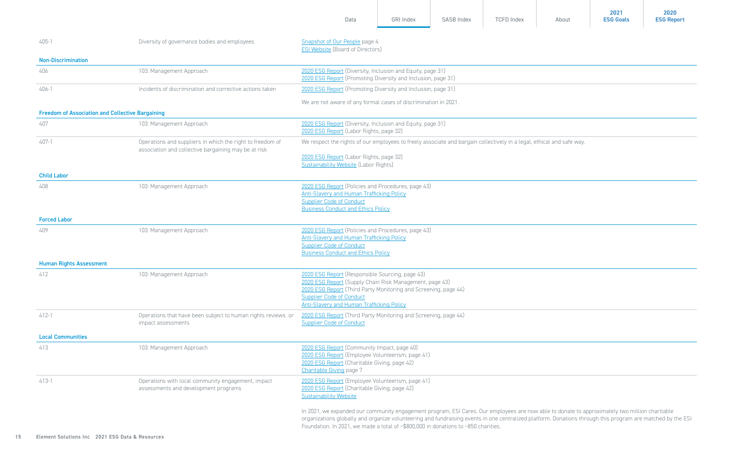|                                                         |                                                                                                                   |                                                                                                                                                                                                                                                                                                                                                                                                    |                  |            |                   |       | 2021             | 2020              |
|---------------------------------------------------------|-------------------------------------------------------------------------------------------------------------------|----------------------------------------------------------------------------------------------------------------------------------------------------------------------------------------------------------------------------------------------------------------------------------------------------------------------------------------------------------------------------------------------------|------------------|------------|-------------------|-------|------------------|-------------------|
|                                                         |                                                                                                                   | Data                                                                                                                                                                                                                                                                                                                                                                                               | <b>GRI Index</b> | SASB Index | <b>TCFD Index</b> | About | <b>ESG Goals</b> | <b>ESG Report</b> |
| 405-1                                                   | Diversity of governance bodies and employees                                                                      | Snapshot of Our People page 4<br><b>ESI Website (Board of Directors)</b>                                                                                                                                                                                                                                                                                                                           |                  |            |                   |       |                  |                   |
| <b>Non-Discrimination</b>                               |                                                                                                                   |                                                                                                                                                                                                                                                                                                                                                                                                    |                  |            |                   |       |                  |                   |
| 406                                                     | 103: Management Approach                                                                                          | 2020 ESG Report (Diversity, Inclusion and Equity, page 31)<br>2020 ESG Report (Promoting Diversity and Inclusion, page 31)                                                                                                                                                                                                                                                                         |                  |            |                   |       |                  |                   |
| 406-1                                                   | Incidents of discrimination and corrective actions taken                                                          | 2020 ESG Report (Promoting Diversity and Inclusion, page 31)                                                                                                                                                                                                                                                                                                                                       |                  |            |                   |       |                  |                   |
|                                                         |                                                                                                                   | We are not aware of any formal cases of discrimination in 2021.                                                                                                                                                                                                                                                                                                                                    |                  |            |                   |       |                  |                   |
| <b>Freedom of Association and Collective Bargaining</b> |                                                                                                                   |                                                                                                                                                                                                                                                                                                                                                                                                    |                  |            |                   |       |                  |                   |
| 407                                                     | 103: Management Approach                                                                                          | 2020 ESG Report (Diversity, Inclusion and Equity, page 31)<br>2020 ESG Report (Labor Rights, page 32)                                                                                                                                                                                                                                                                                              |                  |            |                   |       |                  |                   |
| 407-1                                                   | Operations and suppliers in which the right to freedom of<br>association and collective bargaining may be at risk | We respect the rights of our employees to freely associate and bargain collectively in a legal, ethical and safe way.                                                                                                                                                                                                                                                                              |                  |            |                   |       |                  |                   |
|                                                         |                                                                                                                   | 2020 ESG Report (Labor Rights, page 32)<br><b>Sustainability Website (Labor Rights)</b>                                                                                                                                                                                                                                                                                                            |                  |            |                   |       |                  |                   |
| <b>Child Labor</b>                                      |                                                                                                                   |                                                                                                                                                                                                                                                                                                                                                                                                    |                  |            |                   |       |                  |                   |
| 408                                                     | 103: Management Approach                                                                                          | 2020 ESG Report (Policies and Procedures, page 43)<br><b>Anti-Slavery and Human Trafficking Policy</b><br><b>Supplier Code of Conduct</b><br><b>Business Conduct and Ethics Policy</b>                                                                                                                                                                                                             |                  |            |                   |       |                  |                   |
| <b>Forced Labor</b>                                     |                                                                                                                   |                                                                                                                                                                                                                                                                                                                                                                                                    |                  |            |                   |       |                  |                   |
| 409                                                     | 103: Management Approach                                                                                          | 2020 ESG Report (Policies and Procedures, page 43)<br><b>Anti-Slavery and Human Trafficking Policy</b><br><b>Supplier Code of Conduct</b><br><b>Business Conduct and Ethics Policy</b>                                                                                                                                                                                                             |                  |            |                   |       |                  |                   |
| <b>Human Rights Assessment</b>                          |                                                                                                                   |                                                                                                                                                                                                                                                                                                                                                                                                    |                  |            |                   |       |                  |                   |
| 412                                                     | 103: Management Approach                                                                                          | 2020 ESG Report (Responsible Sourcing, page 43)<br>2020 ESG Report (Supply Chain Risk Management, page 43)<br>2020 ESG Report (Third Party Monitoring and Screening, page 44)<br><b>Supplier Code of Conduct</b><br><b>Anti-Slavery and Human Trafficking Policy</b>                                                                                                                               |                  |            |                   |       |                  |                   |
| $412 - 1$                                               | Operations that have been subject to human rights reviews or<br>impact assessments                                | 2020 ESG Report (Third Party Monitoring and Screening, page 44)<br><b>Supplier Code of Conduct</b>                                                                                                                                                                                                                                                                                                 |                  |            |                   |       |                  |                   |
| <b>Local Communities</b>                                |                                                                                                                   |                                                                                                                                                                                                                                                                                                                                                                                                    |                  |            |                   |       |                  |                   |
| 413                                                     | 103: Management Approach                                                                                          | 2020 ESG Report (Community Impact, page 40)<br>2020 ESG Report (Employee Volunteerism, page 41)<br>2020 ESG Report (Charitable Giving, page 42)<br><b>Charitable Giving page 7</b>                                                                                                                                                                                                                 |                  |            |                   |       |                  |                   |
| 413-1                                                   | Operations with local community engagement, impact<br>assessments and development programs                        | 2020 ESG Report (Employee Volunteerism, page 41)<br>2020 ESG Report (Charitable Giving, page 42)<br><b>Sustainability Website</b>                                                                                                                                                                                                                                                                  |                  |            |                   |       |                  |                   |
|                                                         |                                                                                                                   | In 2021, we expanded our community engagement program, ESI Cares. Our employees are now able to donate to approximately two million charitable<br>organizations globally and organize volunteering and fundraising events in one centralized platform. Donations through this program are matched by the ESI<br>Foundation. In 2021, we made a total of ~\$800,000 in donations to ~850 charities. |                  |            |                   |       |                  |                   |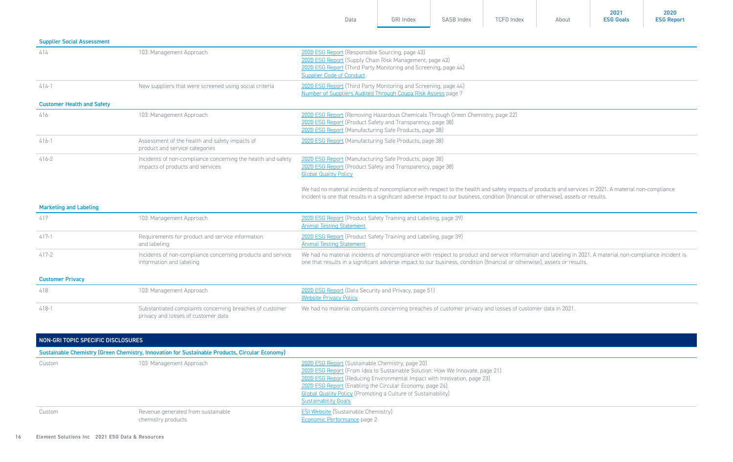|                                    |                                                                                                  | Data                                                                                                                                                                                                                                                                                            | <b>GRI Index</b> | SASB Index | <b>TCFD Index</b> | About | <b>ESG Goals</b> | <b>ESG Report</b> |  |  |
|------------------------------------|--------------------------------------------------------------------------------------------------|-------------------------------------------------------------------------------------------------------------------------------------------------------------------------------------------------------------------------------------------------------------------------------------------------|------------------|------------|-------------------|-------|------------------|-------------------|--|--|
| <b>Supplier Social Assessment</b>  |                                                                                                  |                                                                                                                                                                                                                                                                                                 |                  |            |                   |       |                  |                   |  |  |
| 414                                | 103: Management Approach                                                                         | 2020 ESG Report (Responsible Sourcing, page 43)<br>2020 ESG Report (Supply Chain Risk Management, page 43)<br>2020 ESG Report (Third Party Monitoring and Screening, page 44)<br><b>Supplier Code of Conduct</b>                                                                                |                  |            |                   |       |                  |                   |  |  |
| $414-1$                            | New suppliers that were screened using social criteria                                           | 2020 ESG Report (Third Party Monitoring and Screening, page 44)<br>Number of Suppliers Audited Through Coupa Risk Assess page 7                                                                                                                                                                 |                  |            |                   |       |                  |                   |  |  |
| <b>Customer Health and Safety</b>  |                                                                                                  |                                                                                                                                                                                                                                                                                                 |                  |            |                   |       |                  |                   |  |  |
| 416                                | 103: Management Approach                                                                         | 2020 ESG Report (Removing Hazardous Chemicals Through Green Chemistry, page 22)<br>2020 ESG Report (Product Safety and Transparency, page 38)<br>2020 ESG Report (Manufacturing Safe Products, page 38)                                                                                         |                  |            |                   |       |                  |                   |  |  |
| $416-1$                            | Assessment of the health and safety impacts of<br>product and service categories                 | 2020 ESG Report (Manufacturing Safe Products, page 38)                                                                                                                                                                                                                                          |                  |            |                   |       |                  |                   |  |  |
| $416 - 2$                          | Incidents of non-compliance concerning the health and safety<br>impacts of products and services | 2020 ESG Report (Manufacturing Safe Products, page 38)<br>2020 ESG Report (Product Safety and Transparency, page 38)<br><b>Global Quality Policy</b>                                                                                                                                            |                  |            |                   |       |                  |                   |  |  |
|                                    |                                                                                                  | We had no material incidents of noncompliance with respect to the health and safety impacts of products and services in 2021. A material non-compliance<br>incident is one that results in a significant adverse impact to our business, condition (financial or otherwise), assets or results. |                  |            |                   |       |                  |                   |  |  |
| <b>Marketing and Labeling</b>      |                                                                                                  |                                                                                                                                                                                                                                                                                                 |                  |            |                   |       |                  |                   |  |  |
| 417                                | 103: Management Approach                                                                         | 2020 ESG Report (Product Safety Training and Labeling, page 39)<br><b>Animal Testing Statement</b>                                                                                                                                                                                              |                  |            |                   |       |                  |                   |  |  |
| $417-1$                            | Requirements for product and service information<br>and labeling                                 | 2020 ESG Report (Product Safety Training and Labeling, page 39)<br><b>Animal Testing Statement</b>                                                                                                                                                                                              |                  |            |                   |       |                  |                   |  |  |
| $417 - 2$                          | Incidents of non-compliance concerning products and service<br>information and labeling          | We had no material incidents of noncompliance with respect to product and service information and labeling in 2021. A material non-compliance incident is<br>one that results in a significant adverse impact to our business, condition (financial or otherwise), assets or results.           |                  |            |                   |       |                  |                   |  |  |
| <b>Customer Privacy</b>            |                                                                                                  |                                                                                                                                                                                                                                                                                                 |                  |            |                   |       |                  |                   |  |  |
| 418                                | 103: Management Approach                                                                         | 2020 ESG Report (Data Security and Privacy, page 51)<br><b>Website Privacy Policy</b>                                                                                                                                                                                                           |                  |            |                   |       |                  |                   |  |  |
| $418-1$                            | Substantiated complaints concerning breaches of customer<br>privacy and losses of customer data  | We had no material complaints concerning breaches of customer privacy and losses of customer data in 2021.                                                                                                                                                                                      |                  |            |                   |       |                  |                   |  |  |
| NON-GRI TOPIC SPECIFIC DISCLOSURES |                                                                                                  |                                                                                                                                                                                                                                                                                                 |                  |            |                   |       |                  |                   |  |  |
|                                    | Sustainable Chemistry (Green Chemistry, Innovation for Sustainable Products, Circular Economy)   |                                                                                                                                                                                                                                                                                                 |                  |            |                   |       |                  |                   |  |  |

| Custom | 103: Management Approach                                 | 2020 ESG Report (Sustainable Chemistry, page 20)<br>2020 ESG Report (From Idea to Sustainable Solution: How We Innovate, page 21)<br>2020 ESG Report (Reducing Environmental Impact with Innovation, page 23)<br>2020 ESG Report (Enabling the Circular Economy, page 24)<br><b>Global Quality Policy (Promoting a Culture of Sustainability)</b><br><b>Sustainability Goals</b> |
|--------|----------------------------------------------------------|----------------------------------------------------------------------------------------------------------------------------------------------------------------------------------------------------------------------------------------------------------------------------------------------------------------------------------------------------------------------------------|
| Custom | Revenue generated from sustainable<br>chemistry products | <b>ESI Website (Sustainable Chemistry)</b><br>Economic Performance page 2                                                                                                                                                                                                                                                                                                        |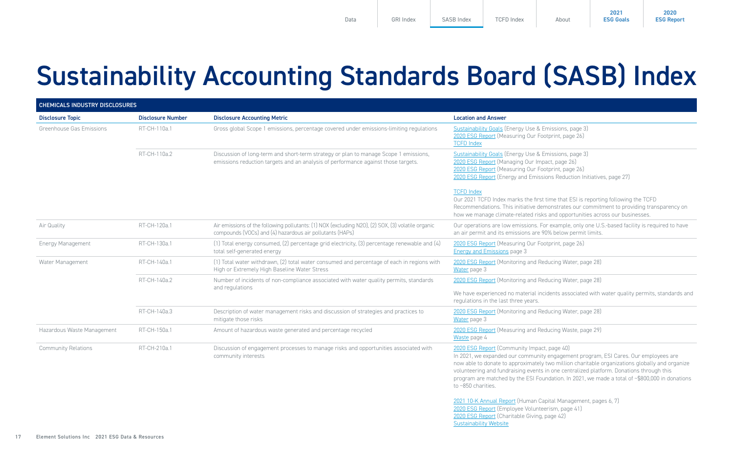**2021 [ESG Goals](https://elementsolutionsinc.com/sites/default/files/2022-02/Sustainability%20Goals%20-%20Final.pdf)**

### <span id="page-16-0"></span>Sustainability Accounting Standards Board (SASB) Index

|                            | <b>CHEMICALS INDUSTRY DISCLOSURES</b> |                                                                                                                                                                           |                                                                                                                                                                                                                                                                                                                                                                                                                                                         |  |  |
|----------------------------|---------------------------------------|---------------------------------------------------------------------------------------------------------------------------------------------------------------------------|---------------------------------------------------------------------------------------------------------------------------------------------------------------------------------------------------------------------------------------------------------------------------------------------------------------------------------------------------------------------------------------------------------------------------------------------------------|--|--|
| <b>Disclosure Topic</b>    | <b>Disclosure Number</b>              | <b>Disclosure Accounting Metric</b>                                                                                                                                       | <b>Location and Answer</b>                                                                                                                                                                                                                                                                                                                                                                                                                              |  |  |
| Greenhouse Gas Emissions   | RT-CH-110a.1                          | Gross global Scope 1 emissions, percentage covered under emissions-limiting regulations                                                                                   | Sustainability Goals (Energy Use & Emissions, page 3)<br>2020 ESG Report (Measuring Our Footprint, page 26)<br><b>TCFD Index</b>                                                                                                                                                                                                                                                                                                                        |  |  |
|                            | RT-CH-110a.2                          | Discussion of long-term and short-term strategy or plan to manage Scope 1 emissions,<br>emissions reduction targets and an analysis of performance against those targets. | Sustainability Goals (Energy Use & Emissions, page 3)<br>2020 ESG Report (Managing Our Impact, page 26)<br>2020 ESG Report (Measuring Our Footprint, page 26)<br>2020 ESG Report (Energy and Emissions Reduction Initiatives, page 27)                                                                                                                                                                                                                  |  |  |
|                            |                                       |                                                                                                                                                                           | <b>TCFD Index</b><br>Our 2021 TCFD Index marks the first time that ESI is reporting following the TCFD<br>Recommendations. This initiative demonstrates our commitment to providing transparency on<br>how we manage climate-related risks and opportunities across our businesses.                                                                                                                                                                     |  |  |
| Air Quality                | RT-CH-120a.1                          | Air emissions of the following pollutants: (1) NOX (excluding N2O), (2) SOX, (3) volatile organic<br>compounds (VOCs) and (4) hazardous air pollutants (HAPs)             | Our operations are low emissions. For example, only one U.S.-based facility is required to have<br>an air permit and its emissions are 90% below permit limits.                                                                                                                                                                                                                                                                                         |  |  |
| <b>Energy Management</b>   | RT-CH-130a.1                          | (1) Total energy consumed, (2) percentage grid electricity, (3) percentage renewable and (4)<br>total self-generated energy                                               | 2020 ESG Report (Measuring Our Footprint, page 26)<br><b>Energy and Emissions page 3</b>                                                                                                                                                                                                                                                                                                                                                                |  |  |
| Water Management           | RT-CH-140a.1                          | (1) Total water withdrawn, (2) total water consumed and percentage of each in regions with<br>High or Extremely High Baseline Water Stress                                | 2020 ESG Report (Monitoring and Reducing Water, page 28)<br>Water page 3                                                                                                                                                                                                                                                                                                                                                                                |  |  |
|                            | RT-CH-140a.2                          | Number of incidents of non-compliance associated with water quality permits, standards<br>and regulations                                                                 | 2020 ESG Report (Monitoring and Reducing Water, page 28)<br>We have experienced no material incidents associated with water quality permits, standards and<br>regulations in the last three years.                                                                                                                                                                                                                                                      |  |  |
|                            | RT-CH-140a.3                          | Description of water management risks and discussion of strategies and practices to<br>mitigate those risks                                                               | 2020 ESG Report (Monitoring and Reducing Water, page 28)<br>Water page 3                                                                                                                                                                                                                                                                                                                                                                                |  |  |
| Hazardous Waste Management | RT-CH-150a.1                          | Amount of hazardous waste generated and percentage recycled                                                                                                               | 2020 ESG Report (Measuring and Reducing Waste, page 29)<br>Waste page 4                                                                                                                                                                                                                                                                                                                                                                                 |  |  |
| <b>Community Relations</b> | RT-CH-210a.1                          | Discussion of engagement processes to manage risks and opportunities associated with<br>community interests                                                               | 2020 ESG Report (Community Impact, page 40)<br>In 2021, we expanded our community engagement program, ESI Cares. Our employees are<br>now able to donate to approximately two million charitable organizations globally and organize<br>volunteering and fundraising events in one centralized platform. Donations through this<br>program are matched by the ESI Foundation. In 2021, we made a total of ~\$800,000 in donations<br>to ~850 charities. |  |  |
|                            |                                       |                                                                                                                                                                           | 2021 10-K Annual Report (Human Capital Management, pages 6, 7)<br>2020 ESG Report (Employee Volunteerism, page 41)<br>2020 ESG Report (Charitable Giving, page 42)<br>Sustainability Website                                                                                                                                                                                                                                                            |  |  |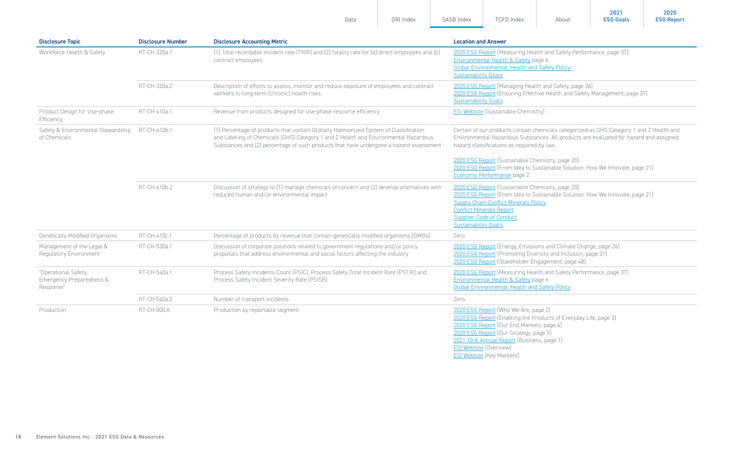| Data | <b>GRI Index</b> | <b>SASB Index</b> | <b>TCFD Index</b> | About | 2021<br><b>ESG Goals</b> | 2020<br><b>ESG Report</b> |
|------|------------------|-------------------|-------------------|-------|--------------------------|---------------------------|
|      |                  |                   |                   |       |                          |                           |

| <b>Disclosure Topic</b>                                       | <b>Disclosure Number</b>                                                                                                                                                                                                                                                              | <b>Disclosure Accounting Metric</b>                                                                                                                                 | <b>Location and Answer</b>                                                                                                                                                                                                                                                                                                                                                                           |
|---------------------------------------------------------------|---------------------------------------------------------------------------------------------------------------------------------------------------------------------------------------------------------------------------------------------------------------------------------------|---------------------------------------------------------------------------------------------------------------------------------------------------------------------|------------------------------------------------------------------------------------------------------------------------------------------------------------------------------------------------------------------------------------------------------------------------------------------------------------------------------------------------------------------------------------------------------|
| Workforce Health & Safety                                     | RT-CH-320a.1                                                                                                                                                                                                                                                                          | (1) Total recordable incident rate (TRIR) and (2) fatality rate for (a) direct employees and (b)<br>contract employees                                              | 2020 ESG Report (Measuring Health and Safety Performance, page 37)<br>Environmental Health & Safety page 6<br><b>Global Environmental, Health and Safety Policy</b><br><b>Sustainability Goals</b>                                                                                                                                                                                                   |
|                                                               | RT-CH-320a.2                                                                                                                                                                                                                                                                          | Description of efforts to assess, monitor and reduce exposure of employees and contract<br>workers to long-term (chronic) health risks                              | 2020 ESG Report (Managing Health and Safety, page 36)<br>2020 ESG Report (Ensuring Effective Health and Safety Management, page 37)<br><b>Sustainability Goals</b>                                                                                                                                                                                                                                   |
| Product Design for Use-phase<br>Efficiency                    | RT-CH-410a.1                                                                                                                                                                                                                                                                          | Revenue from products designed for use-phase resource efficiency                                                                                                    | <b>ESI Website (Sustainable Chemistry)</b>                                                                                                                                                                                                                                                                                                                                                           |
| Safety & Environmental Stewardship<br>of Chemicals            | RT-CH-410b.1<br>(1) Percentage of products that contain Globally Harmonized System of Classification<br>and Labeling of Chemicals (GHS) Category 1 and 2 Health and Environmental Hazardous<br>Substances and (2) percentage of such products that have undergone a hazard assessment |                                                                                                                                                                     | Certain of our products contain chemicals categorized as GHS Category 1 and 2 Health and<br>Environmental Hazardous Substances. All products are evaluated for hazard and assigned<br>hazard classifications as required by law.<br>2020 ESG Report (Sustainable Chemistry, page 20)<br>2020 ESG Report (From Idea to Sustainable Solution: How We Innovate, page 21)<br>Economic Performance page 2 |
|                                                               | RT-CH-410b.2                                                                                                                                                                                                                                                                          | Discussion of strategy to (1) manage chemicals of concern and (2) develop alternatives with<br>reduced human and/or environmental impact                            | 2020 ESG Report (Sustainable Chemistry, page 20)<br>2020 ESG Report (From Idea to Sustainable Solution: How We Innovate, page 21)<br><b>Supply Chain Conflict Minerals Policy</b><br><b>Conflict Minerals Report</b><br><b>Supplier Code of Conduct</b><br><b>Sustainability Goals</b>                                                                                                               |
| <b>Genetically Modified Organisms</b>                         | RT-CH-410c.1                                                                                                                                                                                                                                                                          | Percentage of products by revenue that contain genetically modified organisms (GMOs)                                                                                | Zero.                                                                                                                                                                                                                                                                                                                                                                                                |
| Management of the Legal &<br>Regulatory Environment           | RT-CH-530a.1                                                                                                                                                                                                                                                                          | Discussion of corporate positions related to government regulations and/or policy<br>proposals that address environmental and social factors affecting the industry | 2020 ESG Report (Energy, Emissions and Climate Change, page 26)<br>2020 ESG Report (Promoting Diversity and Inclusion, page 31)<br>2020 ESG Report (Stakeholder Engagement, page 48)                                                                                                                                                                                                                 |
| "Operational Safety,<br>Emergency Preparedness &<br>Response" | RT-CH-540a.1                                                                                                                                                                                                                                                                          | Process Safety Incidents Count (PSIC), Process Safety Total Incident Rate (PSTIR) and<br>Process Safety Incident Severity Rate (PSISR)                              | 2020 ESG Report (Measuring Health and Safety Performance, page 37)<br>Environmental Health & Safety page 6<br><b>Global Environmental, Health and Safety Policy</b>                                                                                                                                                                                                                                  |
|                                                               | RT-CH-540a.2                                                                                                                                                                                                                                                                          | Number of transport incidents                                                                                                                                       | Zero.                                                                                                                                                                                                                                                                                                                                                                                                |
| Production                                                    | RT-CH-000.A                                                                                                                                                                                                                                                                           | Production by reportable segment                                                                                                                                    | 2020 ESG Report (Who We Are, page 2)<br>2020 ESG Report (Enabling the Products of Everyday Life, page 3)<br>2020 ESG Report (Our End Markets, page 4)<br>2020 ESG Report (Our Strategy, page 5)<br>2021 10-K Annual Report (Business, page 1)                                                                                                                                                        |

**ESI Website** (Overview) [ESI Website](https://www.elementsolutionsinc.com/key-markets) (Key Markets)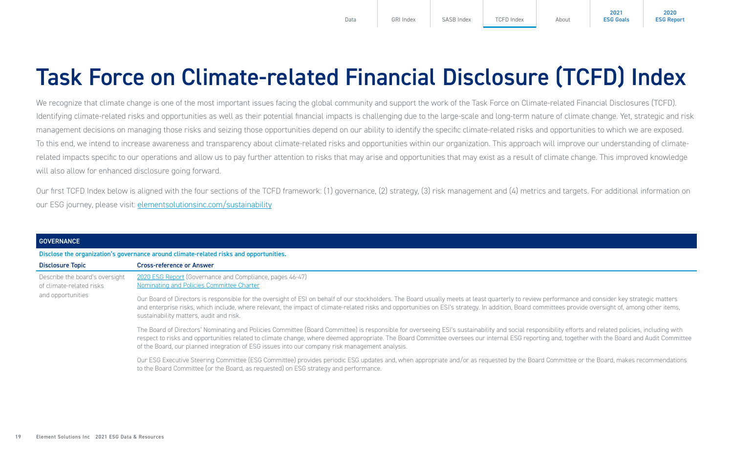**2020 [ESG Report](https://elementsolutionsinc.com/sites/default/files/2021-08/ElementSolutions2020ESGReport3-5.pdf)**

### <span id="page-18-0"></span>Task Force on Climate-related Financial Disclosure (TCFD) Index

We recognize that climate change is one of the most important issues facing the global community and support the work of the Task Force on Climate-related Financial Disclosures (TCFD). Identifying climate-related risks and opportunities as well as their potential financial impacts is challenging due to the large-scale and long-term nature of climate change. Yet, strategic and risk management decisions on managing those risks and seizing those opportunities depend on our ability to identify the specific climate-related risks and opportunities to which we are exposed. To this end, we intend to increase awareness and transparency about climate-related risks and opportunities within our organization. This approach will improve our understanding of climaterelated impacts specific to our operations and allow us to pay further attention to risks that may arise and opportunities that may exist as a result of climate change. This improved knowledge will also allow for enhanced disclosure going forward.

Our first TCFD Index below is aligned with the four sections of the TCFD framework: (1) governance, (2) strategy, (3) risk management and (4) metrics and targets. For additional information on our ESG journey, please visit: [elementsolutionsinc.com/sustainability](https://www.elementsolutionsinc.com/sustainability)

| <b>GOVERNANCE</b>                                                               |                                                                                                                                                                                                                                                                                                                                                                                                                                                                                                             |
|---------------------------------------------------------------------------------|-------------------------------------------------------------------------------------------------------------------------------------------------------------------------------------------------------------------------------------------------------------------------------------------------------------------------------------------------------------------------------------------------------------------------------------------------------------------------------------------------------------|
|                                                                                 | Disclose the organization's governance around climate-related risks and opportunities.                                                                                                                                                                                                                                                                                                                                                                                                                      |
| <b>Disclosure Topic</b>                                                         | <b>Cross-reference or Answer</b>                                                                                                                                                                                                                                                                                                                                                                                                                                                                            |
| Describe the board's oversight<br>of climate-related risks<br>and opportunities | 2020 ESG Report (Governance and Compliance, pages 46-47)<br>Nominating and Policies Committee Charter                                                                                                                                                                                                                                                                                                                                                                                                       |
|                                                                                 | Our Board of Directors is responsible for the oversight of ESI on behalf of our stockholders. The Board usually meets at least quarterly to review performance and consider key strategic matters<br>and enterprise risks, which include, where relevant, the impact of climate-related risks and opportunities on ESI's strategy. In addition, Board committees provide oversight of, among other items,<br>sustainability matters, audit and risk.                                                        |
|                                                                                 | The Board of Directors' Nominating and Policies Committee (Board Committee) is responsible for overseeing ESI's sustainability and social responsibility efforts and related policies, including with<br>respect to risks and opportunities related to climate change, where deemed appropriate. The Board Committee oversees our internal ESG reporting and, together with the Board and Audit Committee<br>of the Board, our planned integration of ESG issues into our company risk management analysis. |
|                                                                                 | Our ESG Executive Steering Committee (ESG Committee) provides periodic ESG updates and, when appropriate and/or as requested by the Board Committee or the Board, makes recommendations<br>to the Board Committee (or the Board, as requested) on ESG strategy and performance.                                                                                                                                                                                                                             |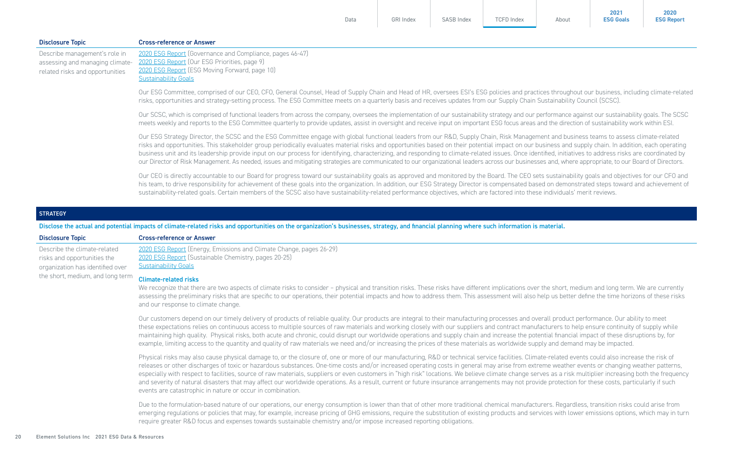| <b>Disclosure Topic</b>                                                                             | <b>Cross-reference or Answer</b>                                                                                                                                                                                                                                                                                                                                                                                                                                                                                                                                                                                                                                                                                                                                                                                                                                                     |  |  |  |
|-----------------------------------------------------------------------------------------------------|--------------------------------------------------------------------------------------------------------------------------------------------------------------------------------------------------------------------------------------------------------------------------------------------------------------------------------------------------------------------------------------------------------------------------------------------------------------------------------------------------------------------------------------------------------------------------------------------------------------------------------------------------------------------------------------------------------------------------------------------------------------------------------------------------------------------------------------------------------------------------------------|--|--|--|
| Describe management's role in<br>assessing and managing climate-<br>related risks and opportunities | 2020 ESG Report (Governance and Compliance, pages 46-47)<br>2020 ESG Report (Our ESG Priorities, page 9)<br>2020 ESG Report (ESG Moving Forward, page 10)<br><b>Sustainability Goals</b>                                                                                                                                                                                                                                                                                                                                                                                                                                                                                                                                                                                                                                                                                             |  |  |  |
|                                                                                                     | Our ESG Committee, comprised of our CEO, CFO, General Counsel, Head of Supply Chain and Head of HR, oversees ESI's ESG policies and practices throughout our business, including climate-related<br>risks, opportunities and strategy-setting process. The ESG Committee meets on a quarterly basis and receives updates from our Supply Chain Sustainability Council (SCSC).                                                                                                                                                                                                                                                                                                                                                                                                                                                                                                        |  |  |  |
|                                                                                                     | Our SCSC, which is comprised of functional leaders from across the company, oversees the implementation of our sustainability strategy and our performance against our sustainability goals. The SCSC<br>meets weekly and reports to the ESG Committee quarterly to provide updates, assist in oversight and receive input on important ESG focus areas and the direction of sustainability work within ESI.                                                                                                                                                                                                                                                                                                                                                                                                                                                                         |  |  |  |
|                                                                                                     | Our ESG Strategy Director, the SCSC and the ESG Committee engage with global functional leaders from our R&D, Supply Chain, Risk Management and business teams to assess climate-related<br>risks and opportunities. This stakeholder group periodically evaluates material risks and opportunities based on their potential impact on our business and supply chain. In addition, each operating<br>business unit and its leadership provide input on our process for identifying, characterizing, and responding to climate-related issues. Once identified, initiatives to address risks are coordinated by<br>our Director of Risk Management. As needed, issues and mitigating strategies are communicated to our organizational leaders across our businesses and, where appropriate, to our Board of Directors.                                                               |  |  |  |
|                                                                                                     | Our CEO is directly accountable to our Board for progress toward our sustainability goals as approved and monitored by the Board. The CEO sets sustainability goals and objectives for our CFO and<br>his team, to drive responsibility for achievement of these goals into the organization. In addition, our ESG Strategy Director is compensated based on demonstrated steps toward and achievement of<br>sustainability-related goals. Certain members of the SCSC also have sustainability-related performance objectives, which are factored into these individuals' merit reviews.                                                                                                                                                                                                                                                                                            |  |  |  |
| <b>STRATEGY</b>                                                                                     |                                                                                                                                                                                                                                                                                                                                                                                                                                                                                                                                                                                                                                                                                                                                                                                                                                                                                      |  |  |  |
|                                                                                                     | Disclose the actual and potential impacts of climate-related risks and opportunities on the organization's businesses, strategy, and financial planning where such information is material.                                                                                                                                                                                                                                                                                                                                                                                                                                                                                                                                                                                                                                                                                          |  |  |  |
| <b>Disclosure Topic</b>                                                                             | <b>Cross-reference or Answer</b>                                                                                                                                                                                                                                                                                                                                                                                                                                                                                                                                                                                                                                                                                                                                                                                                                                                     |  |  |  |
| Describe the climate-related<br>risks and opportunities the<br>organization has identified over     | 2020 ESG Report (Energy, Emissions and Climate Change, pages 26-29)<br>2020 ESG Report (Sustainable Chemistry, pages 20-25)<br><b>Sustainability Goals</b>                                                                                                                                                                                                                                                                                                                                                                                                                                                                                                                                                                                                                                                                                                                           |  |  |  |
| the short, medium, and long term                                                                    | <b>Climate-related risks</b><br>We recognize that there are two aspects of climate risks to consider - physical and transition risks. These risks have different implications over the short, medium and long term. We are currently<br>assessing the preliminary risks that are specific to our operations, their potential impacts and how to address them. This assessment will also help us better define the time horizons of these risks<br>and our response to climate change.                                                                                                                                                                                                                                                                                                                                                                                                |  |  |  |
|                                                                                                     | Our customers depend on our timely delivery of products of reliable quality. Our products are integral to their manufacturing processes and overall product performance. Our ability to meet<br>these expectations relies on continuous access to multiple sources of raw materials and working closely with our suppliers and contract manufacturers to help ensure continuity of supply while<br>maintaining high quality. Physical risks, both acute and chronic, could disrupt our worldwide operations and supply chain and increase the potential financial impact of these disruptions by, for<br>example, limiting access to the quantity and quality of raw materials we need and/or increasing the prices of these materials as worldwide supply and demand may be impacted.                                                                                               |  |  |  |
|                                                                                                     | Physical risks may also cause physical damage to, or the closure of, one or more of our manufacturing, R&D or technical service facilities. Climate-related events could also increase the risk of<br>releases or other discharges of toxic or hazardous substances. One-time costs and/or increased operating costs in general may arise from extreme weather events or changing weather patterns,<br>especially with respect to facilities, source of raw materials, suppliers or even customers in "high risk" locations. We believe climate change serves as a risk multiplier increasing both the frequency<br>and severity of natural disasters that may affect our worldwide operations. As a result, current or future insurance arrangements may not provide protection for these costs, particularly if such<br>events are catastrophic in nature or occur in combination. |  |  |  |
|                                                                                                     | Due to the formulation-based nature of our operations, our energy consumption is lower than that of other more traditional chemical manufacturers. Regardless, transition risks could arise from<br>emerging regulations or policies that may, for example, increase pricing of GHG emissions, require the substitution of existing products and services with lower emissions options, which may in turn<br>require greater R&D focus and expenses towards sustainable chemistry and/or impose increased reporting obligations.                                                                                                                                                                                                                                                                                                                                                     |  |  |  |

[Data](#page-1-0) [GRI Index](#page-7-0) [SASB Index](#page-16-0) [TCFD Index](#page-18-0) [About](#page-24-0)

**2021 [ESG Goals](https://elementsolutionsinc.com/sites/default/files/2022-02/Sustainability%20Goals%20-%20Final.pdf)**

**2020 [ESG Report](https://elementsolutionsinc.com/sites/default/files/2021-08/ElementSolutions2020ESGReport3-5.pdf)**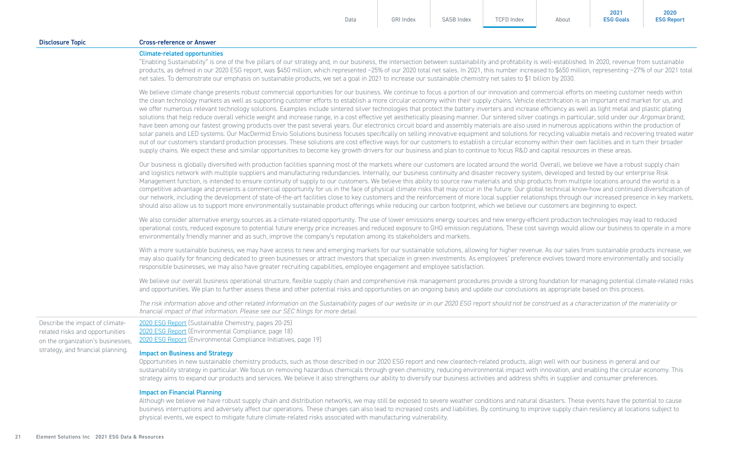| <b>Disclosure Topic</b>                                                                                                                      | <b>Cross-reference or Answer</b>                                                                                                                                                                                                                                                                                                                                                                                                                                                                                                                                                                                                                                                                                                                                                                                                                                                                                                                                                                                                                                                                                                                                                                                                                                                                                                                                                                                                                                                                                                                                                                                        |
|----------------------------------------------------------------------------------------------------------------------------------------------|-------------------------------------------------------------------------------------------------------------------------------------------------------------------------------------------------------------------------------------------------------------------------------------------------------------------------------------------------------------------------------------------------------------------------------------------------------------------------------------------------------------------------------------------------------------------------------------------------------------------------------------------------------------------------------------------------------------------------------------------------------------------------------------------------------------------------------------------------------------------------------------------------------------------------------------------------------------------------------------------------------------------------------------------------------------------------------------------------------------------------------------------------------------------------------------------------------------------------------------------------------------------------------------------------------------------------------------------------------------------------------------------------------------------------------------------------------------------------------------------------------------------------------------------------------------------------------------------------------------------------|
|                                                                                                                                              | <b>Climate-related opportunities</b><br>"Enabling Sustainability" is one of the five pillars of our strategy and, in our business, the intersection between sustainability and profitability is well-established. In 2020, revenue from sustainable<br>products, as defined in our 2020 ESG report, was \$450 million, which represented ~25% of our 2020 total net sales. In 2021, this number increased to \$650 million, representing ~27% of our 2021 total<br>net sales. To demonstrate our emphasis on sustainable products, we set a goal in 2021 to increase our sustainable chemistry net sales to \$1 billion by 2030.                                                                                                                                                                                                                                                                                                                                                                                                                                                                                                                                                                                                                                                                                                                                                                                                                                                                                                                                                                                        |
|                                                                                                                                              | We believe climate change presents robust commercial opportunities for our business. We continue to focus a portion of our innovation and commercial efforts on meeting customer needs within<br>the clean technology markets as well as supporting customer efforts to establish a more circular economy within their supply chains. Vehicle electrification is an important end market for us, and<br>we offer numerous relevant technology solutions. Examples include sintered silver technologies that protect the battery inverters and increase efficiency as well as light metal and plastic plating<br>solutions that help reduce overall vehicle weight and increase range, in a cost effective yet aesthetically pleasing manner. Our sintered silver coatings in particular, sold under our Argomax brand,<br>have been among our fastest growing products over the past several years. Our electronics circuit board and assembly materials are also used in numerous applications within the production of<br>solar panels and LED systems. Our MacDermid Envio Solutions business focuses specifically on selling innovative equipment and solutions for recycling valuable metals and recovering treated water<br>out of our customers standard production processes. These solutions are cost effective ways for our customers to establish a circular economy within their own facilities and in turn their broader<br>supply chains. We expect these and similar opportunities to become key growth drivers for our business and plan to continue to focus R&D and capital resources in these areas. |
|                                                                                                                                              | Our business is globally diversified with production facilities spanning most of the markets where our customers are located around the world. Overall, we believe we have a robust supply chain<br>and logistics network with multiple suppliers and manufacturing redundancies. Internally, our business continuity and disaster recovery system, developed and tested by our enterprise Risk<br>Management function, is intended to ensure continuity of supply to our customers. We believe this ability to source raw materials and ship products from multiple locations around the world is a<br>competitive advantage and presents a commercial opportunity for us in the face of physical climate risks that may occur in the future. Our global technical know-how and continued diversification of<br>our network, including the development of state-of-the-art facilities close to key customers and the reinforcement of more local supplier relationships through our increased presence in key markets,<br>should also allow us to support more environmentally sustainable product offerings while reducing our carbon footprint, which we believe our customers are beginning to expect.                                                                                                                                                                                                                                                                                                                                                                                                              |
|                                                                                                                                              | We also consider alternative energy sources as a climate-related opportunity. The use of lower emissions energy sources and new energy-efficient production technologies may lead to reduced<br>operational costs, reduced exposure to potential future energy price increases and reduced exposure to GHG emission regulations. These cost savings would allow our business to operate in a more<br>environmentally friendly manner and as such, improve the company's reputation among its stakeholders and markets.                                                                                                                                                                                                                                                                                                                                                                                                                                                                                                                                                                                                                                                                                                                                                                                                                                                                                                                                                                                                                                                                                                  |
|                                                                                                                                              | With a more sustainable business, we may have access to new and emerging markets for our sustainable solutions, allowing for higher revenue. As our sales from sustainable products increase, we<br>may also qualify for financing dedicated to green businesses or attract investors that specialize in green investments. As employees' preference evolves toward more environmentally and socially<br>responsible businesses, we may also have greater recruiting capabilities, employee engagement and employee satisfaction.                                                                                                                                                                                                                                                                                                                                                                                                                                                                                                                                                                                                                                                                                                                                                                                                                                                                                                                                                                                                                                                                                       |
|                                                                                                                                              | We believe our overall business operational structure, flexible supply chain and comprehensive risk management procedures provide a strong foundation for managing potential climate-related risks<br>and opportunities. We plan to further assess these and other potential risks and opportunities on an ongoing basis and update our conclusions as appropriate based on this process.                                                                                                                                                                                                                                                                                                                                                                                                                                                                                                                                                                                                                                                                                                                                                                                                                                                                                                                                                                                                                                                                                                                                                                                                                               |
|                                                                                                                                              | The risk information above and other related information on the Sustainability pages of our website or in our 2020 ESG report should not be construed as a characterization of the materiality or<br>financial impact of that information. Please see our SEC filings for more detail.                                                                                                                                                                                                                                                                                                                                                                                                                                                                                                                                                                                                                                                                                                                                                                                                                                                                                                                                                                                                                                                                                                                                                                                                                                                                                                                                  |
| Describe the impact of climate-<br>related risks and opportunities<br>on the organization's businesses,<br>strategy, and financial planning. | 2020 ESG Report (Sustainable Chemistry, pages 20-25)<br>2020 ESG Report (Environmental Compliance, page 18)<br>2020 ESG Report (Environmental Compliance Initiatives, page 19)<br><b>Impact on Business and Strategy</b>                                                                                                                                                                                                                                                                                                                                                                                                                                                                                                                                                                                                                                                                                                                                                                                                                                                                                                                                                                                                                                                                                                                                                                                                                                                                                                                                                                                                |
|                                                                                                                                              | Opportunities in new sustainable chemistry products, such as those described in our 2020 ESG report and new cleantech-related products, align well with our business in general and our<br>sustainability strategy in particular. We focus on removing hazardous chemicals through green chemistry, reducing environmental impact with innovation, and enabling the circular economy. This<br>strategy aims to expand our products and services. We believe it also strengthens our ability to diversify our business activities and address shifts in supplier and consumer preferences.                                                                                                                                                                                                                                                                                                                                                                                                                                                                                                                                                                                                                                                                                                                                                                                                                                                                                                                                                                                                                               |
|                                                                                                                                              | <b>Impact on Financial Planning</b><br>Although we believe we have robust supply chain and distribution networks, we may still be exposed to severe weather conditions and natural disasters. These events have the potential to cause<br>business interruptions and adversely affect our operations. These changes can also lead to increased costs and liabilities. By continuing to improve supply chain resiliency at locations subject to                                                                                                                                                                                                                                                                                                                                                                                                                                                                                                                                                                                                                                                                                                                                                                                                                                                                                                                                                                                                                                                                                                                                                                          |

physical events, we expect to mitigate future climate-related risks associated with manufacturing vulnerability.

[Data](#page-1-0) [GRI Index](#page-7-0) [SASB Index](#page-16-0) [TCFD Index](#page-18-0) [About](#page-24-0)

**2021 [ESG Goals](https://elementsolutionsinc.com/sites/default/files/2022-02/Sustainability%20Goals%20-%20Final.pdf)**

**2020 [ESG Report](https://elementsolutionsinc.com/sites/default/files/2021-08/ElementSolutions2020ESGReport3-5.pdf)**

21 Element Solutions Inc 2021 ESG Data & Resources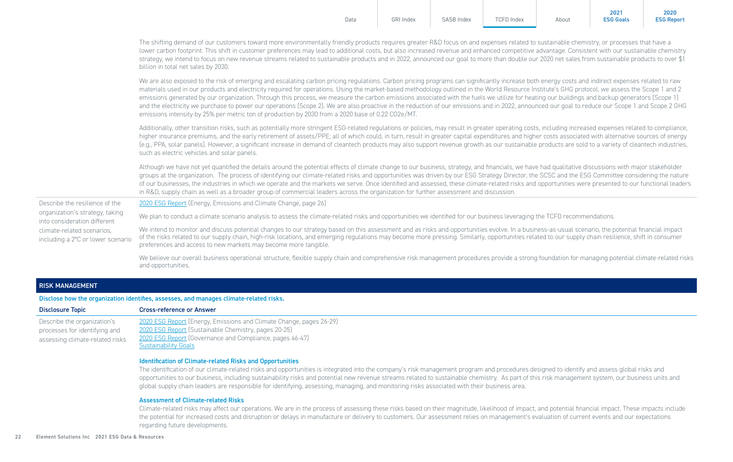|                                                                 | Data                                                                                                                                                                                                                                                                                                                                                                                                                                                                                                                                                                                                                                                                                                                                                                                                                                                                                                          | <b>GRI Index</b> | <b>SASB Index</b> | <b>TCFD Index</b> | About | <b>ESG Goals</b> | <b>ESG Report</b> |  |
|-----------------------------------------------------------------|---------------------------------------------------------------------------------------------------------------------------------------------------------------------------------------------------------------------------------------------------------------------------------------------------------------------------------------------------------------------------------------------------------------------------------------------------------------------------------------------------------------------------------------------------------------------------------------------------------------------------------------------------------------------------------------------------------------------------------------------------------------------------------------------------------------------------------------------------------------------------------------------------------------|------------------|-------------------|-------------------|-------|------------------|-------------------|--|
|                                                                 | The shifting demand of our customers toward more environmentally friendly products requires greater R&D focus on and expenses related to sustainable chemistry, or processes that have a<br>lower carbon footprint. This shift in customer preferences may lead to additional costs, but also increased revenue and enhanced competitive advantage. Consistent with our sustainable chemistry<br>strategy, we intend to focus on new revenue streams related to sustainable products and in 2022, announced our goal to more than double our 2020 net sales from sustainable products to over \$1<br>billion in total net sales by 2030.                                                                                                                                                                                                                                                                      |                  |                   |                   |       |                  |                   |  |
|                                                                 | We are also exposed to the risk of emerging and escalating carbon pricing regulations. Carbon pricing programs can significantly increase both energy costs and indirect expenses related to raw<br>materials used in our products and electricity required for operations. Using the market-based methodology outlined in the World Resource Institute's GHG protocol, we assess the Scope 1 and 2<br>emissions generated by our organization. Through this process, we measure the carbon emissions associated with the fuels we utilize for heating our buildings and backup generators (Scope 1)<br>and the electricity we purchase to power our operations (Scope 2). We are also proactive in the reduction of our emissions and in 2022, announced our goal to reduce our Scope 1 and Scope 2 GHG<br>emissions intensity by 25% per metric ton of production by 2030 from a 2020 base of 0.22 CO2e/MT. |                  |                   |                   |       |                  |                   |  |
|                                                                 | Additionally, other transition risks, such as potentially more stringent ESG-related regulations or policies, may result in greater operating costs, including increased expenses related to compliance,<br>higher insurance premiums, and the early retirement of assets/PPE; all of which could, in turn, result in greater capital expenditures and higher costs associated with alternative sources of energy<br>(e.g., PPA, solar panels). However, a significant increase in demand of cleantech products may also support revenue growth as our sustainable products are sold to a variety of cleantech industries,<br>such as electric vehicles and solar panels.                                                                                                                                                                                                                                     |                  |                   |                   |       |                  |                   |  |
|                                                                 | Although we have not yet quantified the details around the potential effects of climate change to our business, strategy, and financials, we have had qualitative discussions with major stakeholder<br>groups at the organization. The process of identifying our climate-related risks and opportunities was driven by our ESG Strategy Director, the SCSC and the ESG Committee considering the nature<br>of our businesses, the industries in which we operate and the markets we serve. Once identified and assessed, these climate-related risks and opportunities were presented to our functional leaders<br>in R&D, supply chain as well as a broader group of commercial leaders across the organization for further assessment and discussion.                                                                                                                                                     |                  |                   |                   |       |                  |                   |  |
| Describe the resilience of the                                  | 2020 ESG Report (Energy, Emissions and Climate Change, page 26)                                                                                                                                                                                                                                                                                                                                                                                                                                                                                                                                                                                                                                                                                                                                                                                                                                               |                  |                   |                   |       |                  |                   |  |
| organization's strategy, taking<br>into consideration different | We plan to conduct a climate scenario analysis to assess the climate-related risks and opportunities we identified for our business leveraging the TCFD recommendations.                                                                                                                                                                                                                                                                                                                                                                                                                                                                                                                                                                                                                                                                                                                                      |                  |                   |                   |       |                  |                   |  |
| climate-related scenarios.<br>including a 2°C or lower scenario | We intend to monitor and discuss potential changes to our strategy based on this assessment and as risks and opportunities evolve. In a business-as-usual scenario, the potential financial impact<br>of the risks related to our supply chain, high-risk locations, and emerging regulations may become more pressing. Similarly, opportunities related to our supply chain resilience, shift in consumer<br>preferences and access to new markets may become more tangible.                                                                                                                                                                                                                                                                                                                                                                                                                                 |                  |                   |                   |       |                  |                   |  |
|                                                                 | We believe our overall business operational structure, flexible supply chain and comprehensive risk management procedures provide a strong foundation for managing potential climate-related risks                                                                                                                                                                                                                                                                                                                                                                                                                                                                                                                                                                                                                                                                                                            |                  |                   |                   |       |                  |                   |  |

**2020** 

### RISK MANAGEMENT

Disclose how the organization identifies, assesses, and manages climate-related risks.

and opportunities.

| <b>Disclosure Topic</b>                                                                         | <b>Cross-reference or Answer</b>                                                                                                                                                                                       |
|-------------------------------------------------------------------------------------------------|------------------------------------------------------------------------------------------------------------------------------------------------------------------------------------------------------------------------|
| Describe the organization's<br>processes for identifying and<br>assessing climate-related risks | 2020 ESG Report (Energy, Emissions and Climate Change, pages 26-29)<br>2020 ESG Report (Sustainable Chemistry, pages 20-25)<br>2020 ESG Report (Governance and Compliance, pages 46-47)<br><b>Sustainability Goals</b> |

#### Identification of Climate-related Risks and Opportunities

The identification of our climate-related risks and opportunities is integrated into the company's risk management program and procedures designed to identify and assess global risks and opportunities to our business, including sustainability risks and potential new revenue streams related to sustainable chemistry. As part of this risk management system, our business units and global supply chain leaders are responsible for identifying, assessing, managing, and monitoring risks associated with their business area.

#### Assessment of Climate-related Risks

Climate-related risks may affect our operations. We are in the process of assessing these risks based on their magnitude, likelihood of impact, and potential financial impact. These impacts include the potential for increased costs and disruption or delays in manufacture or delivery to customers. Our assessment relies on management's evaluation of current events and our expectations regarding future developments.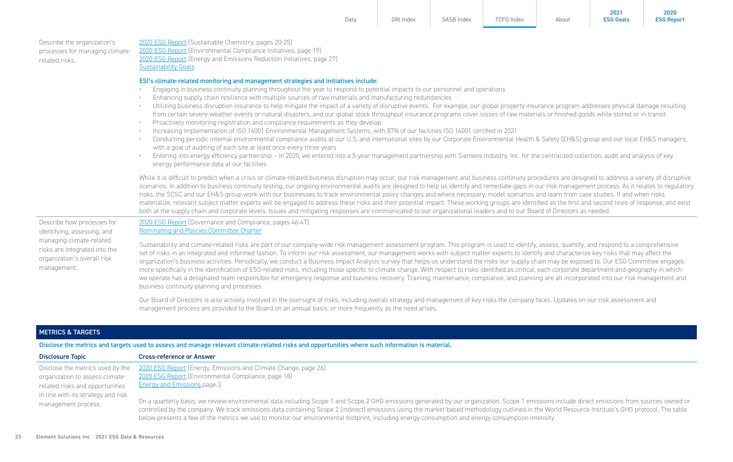| Describe the organization's<br>processes for managing climate-<br>related risks. | 2020 ESG Report (Sustainable Chemistry, pages 20-25)<br>2020 ESG Report (Environmental Compliance Initiatives, page 19)<br>2020 ESG Report (Energy and Emissions Reduction Initiatives, page 27)<br><b>Sustainability Goals</b>                                                                                                                                                                                                                                                                                                                                                                                                                                                                                                                                                                                                                                                                                                                                                                                                                                                                                                                                                                                                                                                                                                                                                                                                                                   |  |  |  |  |
|----------------------------------------------------------------------------------|-------------------------------------------------------------------------------------------------------------------------------------------------------------------------------------------------------------------------------------------------------------------------------------------------------------------------------------------------------------------------------------------------------------------------------------------------------------------------------------------------------------------------------------------------------------------------------------------------------------------------------------------------------------------------------------------------------------------------------------------------------------------------------------------------------------------------------------------------------------------------------------------------------------------------------------------------------------------------------------------------------------------------------------------------------------------------------------------------------------------------------------------------------------------------------------------------------------------------------------------------------------------------------------------------------------------------------------------------------------------------------------------------------------------------------------------------------------------|--|--|--|--|
|                                                                                  | ESI's climate-related monitoring and management strategies and initiatives include:<br>Engaging in business continuity planning throughout the year to respond to potential impacts to our personnel and operations<br>Enhancing supply chain resilience with multiple sources of raw materials and manufacturing redundancies<br>Utilizing business disruption insurance to help mitigate the impact of a variety of disruptive events. For example, our global property insurance program addresses physical damage resulting<br>from certain severe-weather events or natural disasters, and our global stock throughput insurance programs cover losses of raw materials or finished goods while stored or in transit<br>Proactively monitoring registration and compliance requirements as they develop<br>Increasing implementation of ISO 14001 Environmental Management Systems, with 87% of our facilities ISO 14001 certified in 2021<br>Conducting periodic internal environmental compliance audits at our U.S. and international sites by our Corporate Environmental Health & Safety (EH&S) group and our local EH&S managers,<br>with a goal of auditing of each site at least once every three years<br>Entering into energy efficiency partnership - In 2020, we entered into a 5-year management partnership with Siemens Industry, Inc. for the centralized collection, audit and analysis of key<br>energy performance data at our facilities |  |  |  |  |
|                                                                                  | While it is difficult to predict when a crisis or climate-related business disruption may occur, our risk management and business continuity procedures are designed to address a variety of disruptive<br>scenarios. In addition to business continuity testing, our ongoing environmental audits are designed to help us identify and remediate gaps in our risk management process. As it relates to regulatory<br>risks, the SCSC and our EH&S group work with our businesses to track environmental policy changes and where necessary, model scenarios and learn from case studies. If and when risks<br>materialize, relevant subject matter experts will be engaged to address these risks and their potential impact. These working groups are identified as the first and second lines of response, and exist<br>both at the supply chain and corporate levels. Issues and mitigating responses are communicated to our organizational leaders and to our Board of Directors as needed.                                                                                                                                                                                                                                                                                                                                                                                                                                                                 |  |  |  |  |
| Describe how processes for<br>identifying, assessing, and                        | 2020 ESG Report (Governance and Compliance, pages 46-47)<br>Nominating and Policies Committee Charter                                                                                                                                                                                                                                                                                                                                                                                                                                                                                                                                                                                                                                                                                                                                                                                                                                                                                                                                                                                                                                                                                                                                                                                                                                                                                                                                                             |  |  |  |  |
| managing climate-related<br>risks are integrated into the                        | Sustainability and climate-related risks are part of our company-wide risk management assessment program. This program is used to identify, assess, quantify, and respond to a comprehensive<br>est of sigles in an integrated and infermed faction. To inform all accordances all monograment works with a kidat mother superior to identify and glangetorize levy sigles that the state that the                                                                                                                                                                                                                                                                                                                                                                                                                                                                                                                                                                                                                                                                                                                                                                                                                                                                                                                                                                                                                                                                |  |  |  |  |

set of risks in an integrated and informed fashion. To inform our risk assessment, our management works with subject matter experts to identify and characterize key risks that may affect the organization's business activities. Periodically, we conduct a Business Impact Analysis survey that helps us understand the risks our supply chain may be exposed to. Our ESG Committee engages more specifically in the identification of ESG-related risks, including those specific to climate change. With respect to risks identified as critical, each corporate department and geography in which we operate has a designated team responsible for emergency response and business recovery. Training, maintenance, compliance, and planning are all incorporated into our risk management and business continuity planning and processes.

[Data](#page-1-0) [GRI Index](#page-7-0) [SASB Index](#page-16-0) [TCFD Index](#page-18-0) [About](#page-24-0)

**2021 [ESG Goals](https://elementsolutionsinc.com/sites/default/files/2022-02/Sustainability%20Goals%20-%20Final.pdf)**

**2020 [ESG Report](https://elementsolutionsinc.com/sites/default/files/2021-08/ElementSolutions2020ESGReport3-5.pdf)**

Our Board of Directors is also actively involved in the oversight of risks, including overall strategy and management of key risks the company faces. Updates on our risk assessment and management process are provided to the Board on an annual basis, or more frequently as the need arises.

#### METRICS & TARGETS

organization's overall risk

management.

Disclose the metrics and targets used to assess and manage relevant climate-related risks and opportunities where such information is material.

| <b>Disclosure Topic</b>            | <b>Cross-reference or Answer</b>                                                                                                                                                                                                                                                                                                                                                                                                                                                                                                                        |
|------------------------------------|---------------------------------------------------------------------------------------------------------------------------------------------------------------------------------------------------------------------------------------------------------------------------------------------------------------------------------------------------------------------------------------------------------------------------------------------------------------------------------------------------------------------------------------------------------|
| Disclose the metrics used by the   | 2020 ESG Report (Energy, Emissions and Climate Change, page 26)                                                                                                                                                                                                                                                                                                                                                                                                                                                                                         |
| organization to assess climate-    | 2020 ESG Report (Environmental Compliance, page 18)                                                                                                                                                                                                                                                                                                                                                                                                                                                                                                     |
| related risks and opportunities    | <b>Energy and Emissions page 3</b>                                                                                                                                                                                                                                                                                                                                                                                                                                                                                                                      |
| in line with its strategy and risk |                                                                                                                                                                                                                                                                                                                                                                                                                                                                                                                                                         |
| management process.                | On a quarterly basis, we review environmental data including Scope 1 and Scope 2 GHG emissions generated by our organization. Scope 1 emissions include direct emissions from sources owned or<br>controlled by the company. We track emissions data containing Scope 2 (indirect) emissions using the market-based methodology outlined in the World Resource Institute's GHG protocol. The table<br>below presents a few of the metrics we use to monitor our environmental footprint, including energy consumption and energy consumption intensity. |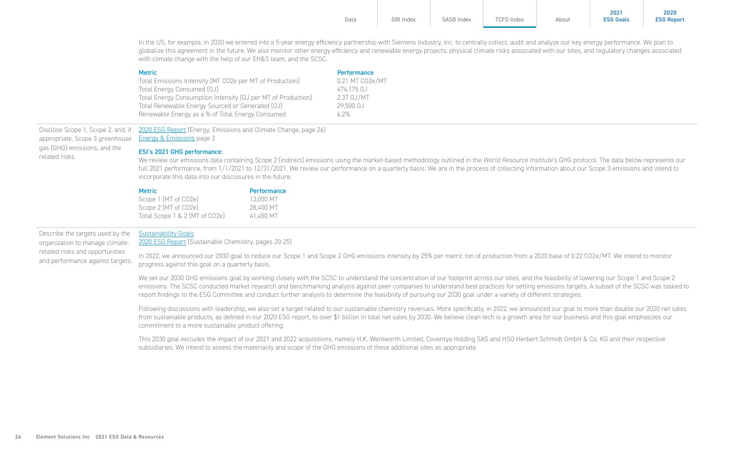| Data | <b>GRI Index</b> | <b>SASB Index</b> | <b>TCFD Index</b> | About | 2021<br><b>ESG Goals</b> | 2020<br><b>ESG Report</b> |
|------|------------------|-------------------|-------------------|-------|--------------------------|---------------------------|
|      |                  |                   |                   |       |                          |                           |

In the US, for example, in 2020 we entered into a 5-year energy efficiency partnership with Siemens Industry, Inc. to centrally collect, audit and analyze our key energy performance. We plan to globalize this agreement in the future. We also monitor other energy efficiency and renewable energy projects, physical climate risks associated with our sites, and regulatory changes associated with climate change with the help of our EH&S team, and the SCSC.

| <b>Metric</b>                                                | <b>Performance</b> |
|--------------------------------------------------------------|--------------------|
| Total Emissions Intensity (MT CO2e per MT of Production)     | 0.21 MT CO2e/MT    |
| Total Energy Consumed (GJ)                                   | 474.175 GJ         |
| Total Energy Consumption Intensity (GJ per MT of Production) | 2.37 GJ/MT         |
| Total Renewable Energy Sourced or Generated (GJ)             | 29.500 GJ          |
| Renewable Energy as a % of Total Energy Consumed             | 6.2%               |

Disclose Scope 1, Scope 2, and, if appropriate, Scope 3 greenhouse gas (GHG) emissions, and the related risks. [2020 ESG Report](https://elementsolutionsinc.com/sites/default/files/2021-08/ElementSolutions2020ESGReport3-5.pdf#page=27) (Energy, Emissions and Climate Change, page 26) [Energy & Emissions](#page-2-0) page 3

#### ESI's 2021 GHG performance:

We review our emissions data containing Scope 2 (indirect) emissions using the market-based methodology outlined in the World Resource Institute's GHG protocol. The data below represents our full 2021 performance, from  $1/1/2021$  to  $12/31/2021$ . We review our performance on a quarterly basis. We are in the process of collecting information about our Scope 3 emissions and intend to incorporate this data into our disclosures in the future.

| <b>Metric</b>                  | Performance |
|--------------------------------|-------------|
| Scope 1 (MT of CO2e)           | 13.050 MT   |
| Scope 2 (MT of CO2e)           | 28.400 MT   |
| Total Scope 1 & 2 (MT of CO2e) | 41.450 MT   |

Describe the targets used by the organization to manage climaterelated risks and opportunities and performance against targets.

#### [Sustainability Goals](https://elementsolutionsinc.com/sites/default/files/2022-02/Sustainability%20Goals%20-%20Final.pdf)

[2020 ESG Report](https://elementsolutionsinc.com/sites/default/files/2021-08/ElementSolutions2020ESGReport3-5.pdf#page=21) (Sustainable Chemistry, pages 20-25)

In 2022, we announced our 2030 goal to reduce our Scope 1 and Scope 2 GHG emissions intensity by 25% per metric ton of production from a 2020 base of 0.22 CO2e/MT. We intend to monitor progress against this goal on a quarterly basis.

We set our 2030 GHG emissions goal by working closely with the SCSC to understand the concentration of our footprint across our sites, and the feasibility of lowering our Scope 1 and Scope 2 emissions. The SCSC conducted market research and benchmarking analysis against peer companies to understand best practices for setting emissions targets. A subset of the SCSC was tasked to report findings to the ESG Committee and conduct further analysis to determine the feasibility of pursuing our 2030 goal under a variety of different strategies.

Following discussions with leadership, we also set a target related to our sustainable chemistry revenues. More specifically, in 2022, we announced our goal to more than double our 2020 net sales from sustainable products, as defined in our 2020 ESG report, to over \$1 billion in total net sales by 2030. We believe clean tech is a growth area for our business and this goal emphasizes our commitment to a more sustainable product offering.

This 2030 goal excludes the impact of our 2021 and 2022 acquisitions, namely H.K. Wentworth Limited, Coventya Holding SAS and HSO Herbert Schmidt GmbH & Co. KG and their respective subsidiaries. We intend to assess the materiality and scope of the GHG emissions of these additional sites as appropriate.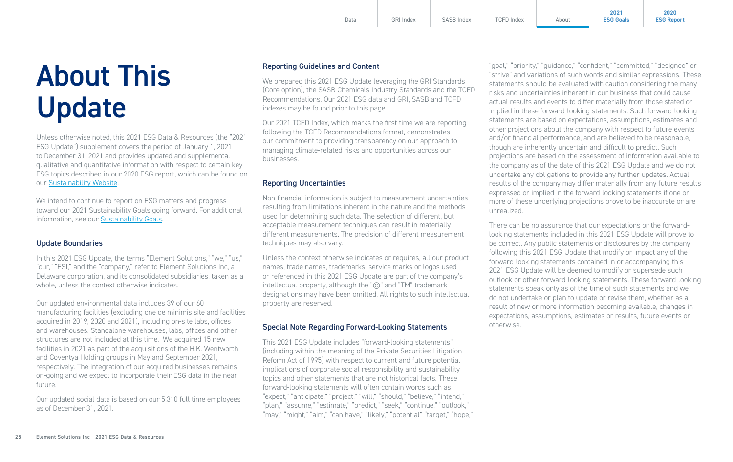## <span id="page-24-0"></span>About This Update

Unless otherwise noted, this 2021 ESG Data & Resources (the "2021 ESG Update") supplement covers the period of January 1, 2021 to December 31, 2021 and provides updated and supplemental qualitative and quantitative information with respect to certain key ESG topics described in our 2020 ESG report, which can be found on our [Sustainability Website.](https://elementsolutionsinc.com/sustainability) 

We intend to continue to report on ESG matters and progress toward our 2021 Sustainability Goals going forward. For additional information, see our Sustainability [Goals.](https://elementsolutionsinc.com/sites/default/files/2022-02/Sustainability%20Goals%20-%20Final.pdf)

#### Update Boundaries

In this 2021 ESG Update, the terms "Element Solutions," "we," "us," "our," "ESI," and the "company," refer to Element Solutions Inc, a Delaware corporation, and its consolidated subsidiaries, taken as a whole, unless the context otherwise indicates.

Our updated environmental data includes 39 of our 60 manufacturing facilities (excluding one de minimis site and facilities acquired in 2019, 2020 and 2021), including on-site labs, offices and warehouses. Standalone warehouses, labs, offices and other structures are not included at this time. We acquired 15 new facilities in 2021 as part of the acquisitions of the H.K. Wentworth and Coventya Holding groups in May and September 2021, respectively. The integration of our acquired businesses remains on-going and we expect to incorporate their ESG data in the near future.

Our updated social data is based on our 5,310 full time employees as of December 31, 2021.

#### Reporting Guidelines and Content

We prepared this 2021 ESG Update leveraging the GRI Standards (Core option), the SASB Chemicals Industry Standards and the TCFD Recommendations. Our 2021 ESG data and GRI, SASB and TCFD indexes may be found prior to this page.

Our 2021 TCFD Index, which marks the first time we are reporting following the TCFD Recommendations format, demonstrates our commitment to providing transparency on our approach to managing climate-related risks and opportunities across our businesses.

#### Reporting Uncertainties

Non-financial information is subject to measurement uncertainties resulting from limitations inherent in the nature and the methods used for determining such data. The selection of different, but acceptable measurement techniques can result in materially different measurements. The precision of different measurement techniques may also vary.

Unless the context otherwise indicates or requires, all our product names, trade names, trademarks, service marks or logos used or referenced in this 2021 ESG Update are part of the company's intellectual property, although the "©" and "TM" trademark designations may have been omitted. All rights to such intellectual property are reserved.

#### Special Note Regarding Forward-Looking Statements

This 2021 ESG Update includes "forward-looking statements" (including within the meaning of the Private Securities Litigation Reform Act of 1995) with respect to current and future potential implications of corporate social responsibility and sustainability topics and other statements that are not historical facts. These forward-looking statements will often contain words such as "expect," "anticipate," "project," "will," "should," "believe," "intend," "plan," "assume," "estimate," "predict," "seek," "continue," "outlook," "may," "might," "aim," "can have," "likely," "potential" "target," "hope,"

"goal," "priority," "guidance," "confident," "committed," "designed" or "strive" and variations of such words and similar expressions. These statements should be evaluated with caution considering the many risks and uncertainties inherent in our business that could cause actual results and events to differ materially from those stated or implied in these forward-looking statements. Such forward-looking statements are based on expectations, assumptions, estimates and other projections about the company with respect to future events and/or financial performance, and are believed to be reasonable, though are inherently uncertain and difficult to predict. Such projections are based on the assessment of information available to the company as of the date of this 2021 ESG Update and we do not undertake any obligations to provide any further updates. Actual results of the company may differ materially from any future results expressed or implied in the forward-looking statements if one or more of these underlying projections prove to be inaccurate or are unrealized.

**2021 [ESG Goals](https://elementsolutionsinc.com/sites/default/files/2022-02/Sustainability%20Goals%20-%20Final.pdf)**

**2020 [ESG Report](https://elementsolutionsinc.com/sites/default/files/2021-08/ElementSolutions2020ESGReport3-5.pdf)**

There can be no assurance that our expectations or the forwardlooking statements included in this 2021 ESG Update will prove to be correct. Any public statements or disclosures by the company following this 2021 ESG Update that modify or impact any of the forward-looking statements contained in or accompanying this 2021 ESG Update will be deemed to modify or supersede such outlook or other forward-looking statements. These forward-looking statements speak only as of the time of such statements and we do not undertake or plan to update or revise them, whether as a result of new or more information becoming available, changes in expectations, assumptions, estimates or results, future events or otherwise.